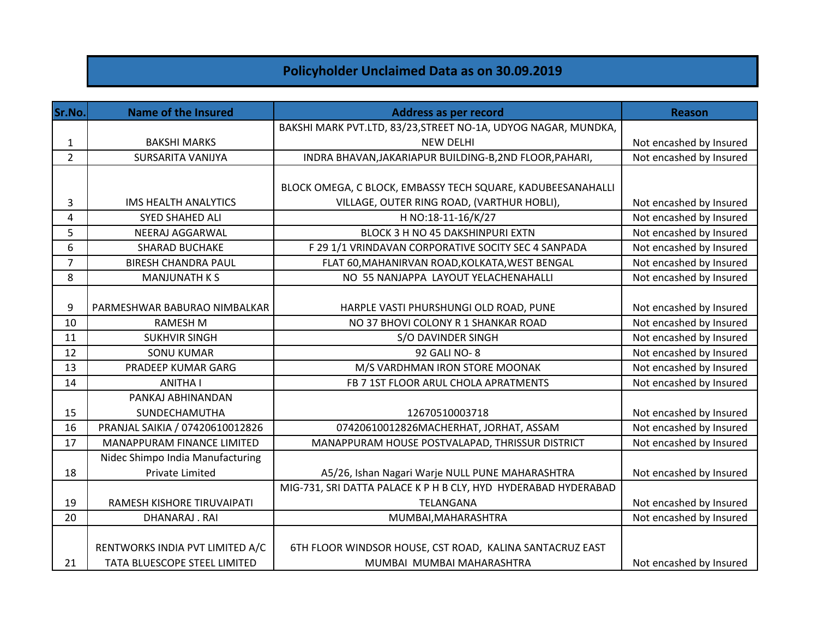## **Policyholder Unclaimed Data as on 30.09.2019**

| Sr.No.         | <b>Name of the Insured</b>        | Address as per record                                          | <b>Reason</b>           |
|----------------|-----------------------------------|----------------------------------------------------------------|-------------------------|
|                |                                   | BAKSHI MARK PVT.LTD, 83/23, STREET NO-1A, UDYOG NAGAR, MUNDKA, |                         |
| 1              | <b>BAKSHI MARKS</b>               | <b>NEW DELHI</b>                                               | Not encashed by Insured |
| $\overline{2}$ | SURSARITA VANIJYA                 | INDRA BHAVAN, JAKARIAPUR BUILDING-B, 2ND FLOOR, PAHARI,        | Not encashed by Insured |
|                |                                   |                                                                |                         |
|                |                                   | BLOCK OMEGA, C BLOCK, EMBASSY TECH SQUARE, KADUBEESANAHALLI    |                         |
| 3              | IMS HEALTH ANALYTICS              | VILLAGE, OUTER RING ROAD, (VARTHUR HOBLI),                     | Not encashed by Insured |
| 4              | <b>SYED SHAHED ALI</b>            | H NO:18-11-16/K/27                                             | Not encashed by Insured |
| 5              | NEERAJ AGGARWAL                   | BLOCK 3 H NO 45 DAKSHINPURI EXTN                               | Not encashed by Insured |
| 6              | <b>SHARAD BUCHAKE</b>             | F 29 1/1 VRINDAVAN CORPORATIVE SOCITY SEC 4 SANPADA            | Not encashed by Insured |
| $\overline{7}$ | <b>BIRESH CHANDRA PAUL</b>        | FLAT 60, MAHANIRVAN ROAD, KOLKATA, WEST BENGAL                 | Not encashed by Insured |
| 8              | <b>MANJUNATH KS</b>               | NO 55 NANJAPPA LAYOUT YELACHENAHALLI                           | Not encashed by Insured |
|                |                                   |                                                                |                         |
| 9              | PARMESHWAR BABURAO NIMBALKAR      | HARPLE VASTI PHURSHUNGI OLD ROAD, PUNE                         | Not encashed by Insured |
| 10             | <b>RAMESH M</b>                   | NO 37 BHOVI COLONY R 1 SHANKAR ROAD                            | Not encashed by Insured |
| 11             | <b>SUKHVIR SINGH</b>              | S/O DAVINDER SINGH                                             | Not encashed by Insured |
| 12             | <b>SONU KUMAR</b>                 | 92 GALI NO-8                                                   | Not encashed by Insured |
| 13             | PRADEEP KUMAR GARG                | M/S VARDHMAN IRON STORE MOONAK                                 | Not encashed by Insured |
| 14             | ANITHA I                          | FB 7 1ST FLOOR ARUL CHOLA APRATMENTS                           | Not encashed by Insured |
|                | PANKAJ ABHINANDAN                 |                                                                |                         |
| 15             | SUNDECHAMUTHA                     | 12670510003718                                                 | Not encashed by Insured |
| 16             | PRANJAL SAIKIA / 07420610012826   | 07420610012826MACHERHAT, JORHAT, ASSAM                         | Not encashed by Insured |
| 17             | <b>MANAPPURAM FINANCE LIMITED</b> | MANAPPURAM HOUSE POSTVALAPAD, THRISSUR DISTRICT                | Not encashed by Insured |
|                | Nidec Shimpo India Manufacturing  |                                                                |                         |
| 18             | <b>Private Limited</b>            | A5/26, Ishan Nagari Warje NULL PUNE MAHARASHTRA                | Not encashed by Insured |
|                |                                   | MIG-731, SRI DATTA PALACE K P H B CLY, HYD HYDERABAD HYDERABAD |                         |
| 19             | RAMESH KISHORE TIRUVAIPATI        | TELANGANA                                                      | Not encashed by Insured |
| 20             | DHANARAJ.RAI                      | MUMBAI, MAHARASHTRA                                            | Not encashed by Insured |
|                |                                   |                                                                |                         |
|                | RENTWORKS INDIA PVT LIMITED A/C   | 6TH FLOOR WINDSOR HOUSE, CST ROAD, KALINA SANTACRUZ EAST       |                         |
| 21             | TATA BLUESCOPE STEEL LIMITED      | MUMBAI MUMBAI MAHARASHTRA                                      | Not encashed by Insured |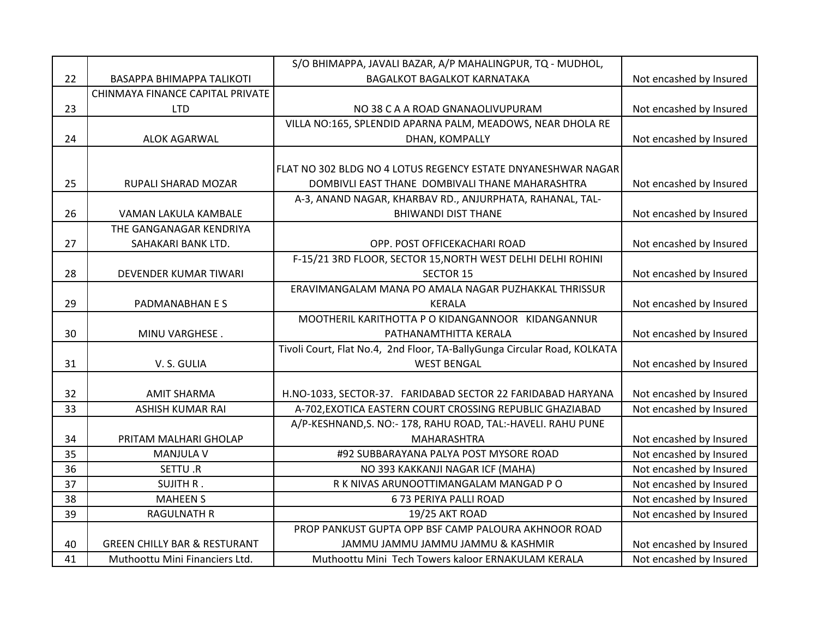|    |                                         | S/O BHIMAPPA, JAVALI BAZAR, A/P MAHALINGPUR, TQ - MUDHOL,                |                         |
|----|-----------------------------------------|--------------------------------------------------------------------------|-------------------------|
| 22 | BASAPPA BHIMAPPA TALIKOTI               | <b>BAGALKOT BAGALKOT KARNATAKA</b>                                       | Not encashed by Insured |
|    | CHINMAYA FINANCE CAPITAL PRIVATE        |                                                                          |                         |
| 23 | <b>LTD</b>                              | NO 38 C A A ROAD GNANAOLIVUPURAM                                         | Not encashed by Insured |
|    |                                         | VILLA NO:165, SPLENDID APARNA PALM, MEADOWS, NEAR DHOLA RE               |                         |
| 24 | ALOK AGARWAL                            | DHAN, KOMPALLY                                                           | Not encashed by Insured |
|    |                                         |                                                                          |                         |
|    |                                         | FLAT NO 302 BLDG NO 4 LOTUS REGENCY ESTATE DNYANESHWAR NAGAR             |                         |
| 25 | RUPALI SHARAD MOZAR                     | DOMBIVLI EAST THANE DOMBIVALI THANE MAHARASHTRA                          | Not encashed by Insured |
|    |                                         | A-3, ANAND NAGAR, KHARBAV RD., ANJURPHATA, RAHANAL, TAL-                 |                         |
| 26 | VAMAN LAKULA KAMBALE                    | <b>BHIWANDI DIST THANE</b>                                               | Not encashed by Insured |
|    | THE GANGANAGAR KENDRIYA                 |                                                                          |                         |
| 27 | SAHAKARI BANK LTD.                      | OPP. POST OFFICEKACHARI ROAD                                             | Not encashed by Insured |
|    |                                         | F-15/21 3RD FLOOR, SECTOR 15, NORTH WEST DELHI DELHI ROHINI              |                         |
| 28 | <b>DEVENDER KUMAR TIWARI</b>            | <b>SECTOR 15</b>                                                         | Not encashed by Insured |
|    |                                         | ERAVIMANGALAM MANA PO AMALA NAGAR PUZHAKKAL THRISSUR                     |                         |
| 29 | PADMANABHAN E S                         | <b>KERALA</b>                                                            | Not encashed by Insured |
|    |                                         | MOOTHERIL KARITHOTTA P O KIDANGANNOOR KIDANGANNUR                        |                         |
| 30 | MINU VARGHESE.                          | PATHANAMTHITTA KERALA                                                    | Not encashed by Insured |
|    |                                         | Tivoli Court, Flat No.4, 2nd Floor, TA-BallyGunga Circular Road, KOLKATA |                         |
| 31 | V. S. GULIA                             | <b>WEST BENGAL</b>                                                       | Not encashed by Insured |
|    |                                         |                                                                          |                         |
| 32 | <b>AMIT SHARMA</b>                      | H.NO-1033, SECTOR-37. FARIDABAD SECTOR 22 FARIDABAD HARYANA              | Not encashed by Insured |
| 33 | <b>ASHISH KUMAR RAI</b>                 | A-702, EXOTICA EASTERN COURT CROSSING REPUBLIC GHAZIABAD                 | Not encashed by Insured |
|    |                                         | A/P-KESHNAND, S. NO:- 178, RAHU ROAD, TAL:-HAVELI. RAHU PUNE             |                         |
| 34 | PRITAM MALHARI GHOLAP                   | MAHARASHTRA                                                              | Not encashed by Insured |
| 35 | <b>MANJULA V</b>                        | #92 SUBBARAYANA PALYA POST MYSORE ROAD                                   | Not encashed by Insured |
| 36 | SETTU .R                                | NO 393 KAKKANJI NAGAR ICF (MAHA)                                         | Not encashed by Insured |
| 37 | <b>SUJITH R.</b>                        | R K NIVAS ARUNOOTTIMANGALAM MANGAD P O                                   | Not encashed by Insured |
| 38 | <b>MAHEEN S</b>                         | 673 PERIYA PALLI ROAD                                                    | Not encashed by Insured |
| 39 | <b>RAGULNATH R</b>                      | 19/25 AKT ROAD                                                           | Not encashed by Insured |
|    |                                         | PROP PANKUST GUPTA OPP BSF CAMP PALOURA AKHNOOR ROAD                     |                         |
| 40 | <b>GREEN CHILLY BAR &amp; RESTURANT</b> | JAMMU JAMMU JAMMU JAMMU & KASHMIR                                        | Not encashed by Insured |
| 41 | Muthoottu Mini Financiers Ltd.          | Muthoottu Mini Tech Towers kaloor ERNAKULAM KERALA                       | Not encashed by Insured |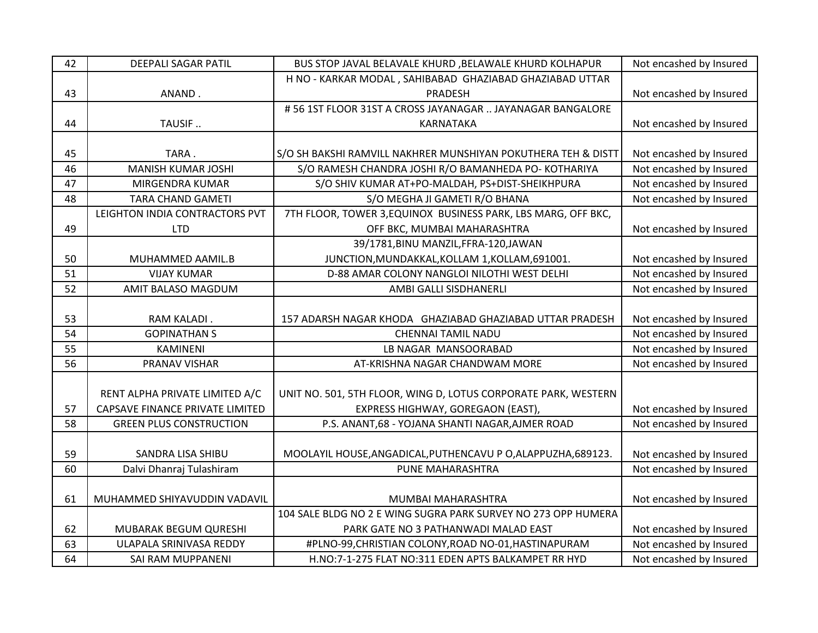| 42 | <b>DEEPALI SAGAR PATIL</b>      | BUS STOP JAVAL BELAVALE KHURD , BELAWALE KHURD KOLHAPUR        | Not encashed by Insured |
|----|---------------------------------|----------------------------------------------------------------|-------------------------|
|    |                                 | H NO - KARKAR MODAL, SAHIBABAD GHAZIABAD GHAZIABAD UTTAR       |                         |
| 43 | ANAND.                          | PRADESH                                                        | Not encashed by Insured |
|    |                                 | #56 1ST FLOOR 31ST A CROSS JAYANAGAR  JAYANAGAR BANGALORE      |                         |
| 44 | TAUSIF                          | KARNATAKA                                                      | Not encashed by Insured |
|    |                                 |                                                                |                         |
| 45 | TARA.                           | S/O SH BAKSHI RAMVILL NAKHRER MUNSHIYAN POKUTHERA TEH & DISTT  | Not encashed by Insured |
| 46 | <b>MANISH KUMAR JOSHI</b>       | S/O RAMESH CHANDRA JOSHI R/O BAMANHEDA PO- KOTHARIYA           | Not encashed by Insured |
| 47 | MIRGENDRA KUMAR                 | S/O SHIV KUMAR AT+PO-MALDAH, PS+DIST-SHEIKHPURA                | Not encashed by Insured |
| 48 | <b>TARA CHAND GAMETI</b>        | S/O MEGHA JI GAMETI R/O BHANA                                  | Not encashed by Insured |
|    | LEIGHTON INDIA CONTRACTORS PVT  | 7TH FLOOR, TOWER 3, EQUINOX BUSINESS PARK, LBS MARG, OFF BKC,  |                         |
| 49 | <b>LTD</b>                      | OFF BKC, MUMBAI MAHARASHTRA                                    | Not encashed by Insured |
|    |                                 | 39/1781, BINU MANZIL, FFRA-120, JAWAN                          |                         |
| 50 | MUHAMMED AAMIL.B                | JUNCTION, MUNDAKKAL, KOLLAM 1, KOLLAM, 691001.                 | Not encashed by Insured |
| 51 | <b>VIJAY KUMAR</b>              | D-88 AMAR COLONY NANGLOI NILOTHI WEST DELHI                    | Not encashed by Insured |
| 52 | AMIT BALASO MAGDUM              | AMBI GALLI SISDHANERLI                                         | Not encashed by Insured |
|    |                                 |                                                                |                         |
| 53 | RAM KALADI.                     | 157 ADARSH NAGAR KHODA GHAZIABAD GHAZIABAD UTTAR PRADESH       | Not encashed by Insured |
| 54 | <b>GOPINATHAN S</b>             | CHENNAI TAMIL NADU                                             | Not encashed by Insured |
| 55 | KAMINENI                        | LB NAGAR MANSOORABAD                                           | Not encashed by Insured |
| 56 | PRANAV VISHAR                   | AT-KRISHNA NAGAR CHANDWAM MORE                                 | Not encashed by Insured |
|    |                                 |                                                                |                         |
|    | RENT ALPHA PRIVATE LIMITED A/C  | UNIT NO. 501, 5TH FLOOR, WING D, LOTUS CORPORATE PARK, WESTERN |                         |
| 57 | CAPSAVE FINANCE PRIVATE LIMITED | EXPRESS HIGHWAY, GOREGAON (EAST),                              | Not encashed by Insured |
| 58 | <b>GREEN PLUS CONSTRUCTION</b>  | P.S. ANANT, 68 - YOJANA SHANTI NAGAR, AJMER ROAD               | Not encashed by Insured |
|    |                                 |                                                                |                         |
| 59 | SANDRA LISA SHIBU               | MOOLAYIL HOUSE, ANGADICAL, PUTHENCAVU P O, ALAPPUZHA, 689123.  | Not encashed by Insured |
| 60 | Dalvi Dhanraj Tulashiram        | PUNE MAHARASHTRA                                               | Not encashed by Insured |
|    |                                 |                                                                |                         |
| 61 | MUHAMMED SHIYAVUDDIN VADAVIL    | MUMBAI MAHARASHTRA                                             | Not encashed by Insured |
|    |                                 | 104 SALE BLDG NO 2 E WING SUGRA PARK SURVEY NO 273 OPP HUMERA  |                         |
| 62 | MUBARAK BEGUM QURESHI           | PARK GATE NO 3 PATHANWADI MALAD EAST                           | Not encashed by Insured |
| 63 | ULAPALA SRINIVASA REDDY         | #PLNO-99, CHRISTIAN COLONY, ROAD NO-01, HASTINAPURAM           | Not encashed by Insured |
| 64 | SAI RAM MUPPANENI               | H.NO:7-1-275 FLAT NO:311 EDEN APTS BALKAMPET RR HYD            | Not encashed by Insured |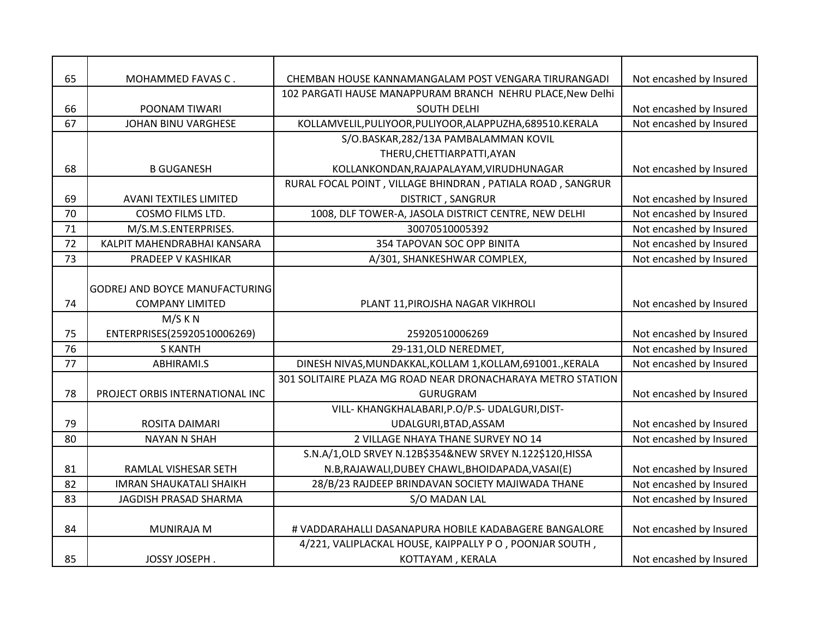| 65 | MOHAMMED FAVAS C.                   | CHEMBAN HOUSE KANNAMANGALAM POST VENGARA TIRURANGADI        | Not encashed by Insured |
|----|-------------------------------------|-------------------------------------------------------------|-------------------------|
|    |                                     | 102 PARGATI HAUSE MANAPPURAM BRANCH NEHRU PLACE, New Delhi  |                         |
| 66 | POONAM TIWARI                       | <b>SOUTH DELHI</b>                                          | Not encashed by Insured |
| 67 | JOHAN BINU VARGHESE                 | KOLLAMVELIL, PULIYOOR, PULIYOOR, ALAPPUZHA, 689510. KERALA  | Not encashed by Insured |
|    |                                     | S/O.BASKAR, 282/13A PAMBALAMMAN KOVIL                       |                         |
|    |                                     | THERU, CHETTIARPATTI, AYAN                                  |                         |
| 68 | <b>B GUGANESH</b>                   | KOLLANKONDAN, RAJAPALAYAM, VIRUDHUNAGAR                     | Not encashed by Insured |
|    |                                     | RURAL FOCAL POINT, VILLAGE BHINDRAN, PATIALA ROAD, SANGRUR  |                         |
| 69 | <b>AVANI TEXTILES LIMITED</b>       | <b>DISTRICT, SANGRUR</b>                                    | Not encashed by Insured |
| 70 | <b>COSMO FILMS LTD.</b>             | 1008, DLF TOWER-A, JASOLA DISTRICT CENTRE, NEW DELHI        | Not encashed by Insured |
| 71 | M/S.M.S.ENTERPRISES.                | 30070510005392                                              | Not encashed by Insured |
| 72 | KALPIT MAHENDRABHAI KANSARA         | 354 TAPOVAN SOC OPP BINITA                                  | Not encashed by Insured |
| 73 | PRADEEP V KASHIKAR                  | A/301, SHANKESHWAR COMPLEX,                                 | Not encashed by Insured |
| 74 | <b>COMPANY LIMITED</b><br>$M/S$ K N | PLANT 11, PIROJSHA NAGAR VIKHROLI                           | Not encashed by Insured |
| 75 | ENTERPRISES(25920510006269)         | 25920510006269                                              | Not encashed by Insured |
| 76 | <b>S KANTH</b>                      | 29-131, OLD NEREDMET,                                       | Not encashed by Insured |
| 77 | ABHIRAMI.S                          | DINESH NIVAS, MUNDAKKAL, KOLLAM 1, KOLLAM, 691001., KERALA  | Not encashed by Insured |
|    |                                     | 301 SOLITAIRE PLAZA MG ROAD NEAR DRONACHARAYA METRO STATION |                         |
| 78 | PROJECT ORBIS INTERNATIONAL INC     | GURUGRAM                                                    | Not encashed by Insured |
|    |                                     | VILL- KHANGKHALABARI, P.O/P.S- UDALGURI, DIST-              |                         |
| 79 | ROSITA DAIMARI                      | UDALGURI, BTAD, ASSAM                                       | Not encashed by Insured |
| 80 | <b>NAYAN N SHAH</b>                 | 2 VILLAGE NHAYA THANE SURVEY NO 14                          | Not encashed by Insured |
|    |                                     | S.N.A/1, OLD SRVEY N.12B\$354&NEW SRVEY N.122\$120, HISSA   |                         |
| 81 | RAMLAL VISHESAR SETH                | N.B, RAJAWALI, DUBEY CHAWL, BHOIDAPADA, VASAI(E)            | Not encashed by Insured |
| 82 | <b>IMRAN SHAUKATALI SHAIKH</b>      | 28/B/23 RAJDEEP BRINDAVAN SOCIETY MAJIWADA THANE            | Not encashed by Insured |
|    |                                     | S/O MADAN LAL                                               | Not encashed by Insured |
| 83 | JAGDISH PRASAD SHARMA               |                                                             |                         |
|    |                                     |                                                             |                         |
| 84 | <b>MUNIRAJA M</b>                   | # VADDARAHALLI DASANAPURA HOBILE KADABAGERE BANGALORE       |                         |
|    |                                     | 4/221, VALIPLACKAL HOUSE, KAIPPALLY PO, POONJAR SOUTH,      | Not encashed by Insured |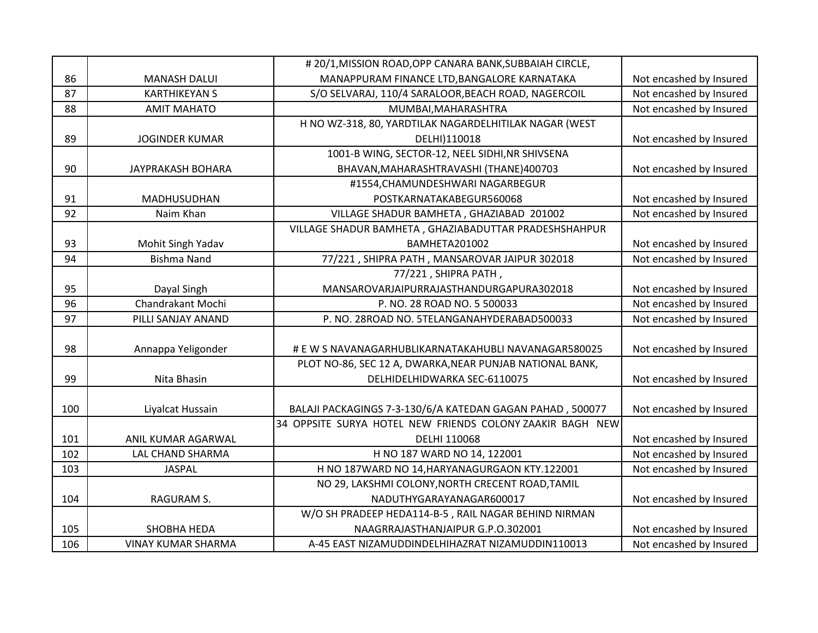|     |                           | # 20/1, MISSION ROAD, OPP CANARA BANK, SUBBAIAH CIRCLE,   |                         |
|-----|---------------------------|-----------------------------------------------------------|-------------------------|
| 86  | <b>MANASH DALUI</b>       | MANAPPURAM FINANCE LTD, BANGALORE KARNATAKA               | Not encashed by Insured |
| 87  | <b>KARTHIKEYAN S</b>      | S/O SELVARAJ, 110/4 SARALOOR, BEACH ROAD, NAGERCOIL       | Not encashed by Insured |
| 88  | <b>AMIT MAHATO</b>        | MUMBAI, MAHARASHTRA                                       | Not encashed by Insured |
|     |                           | H NO WZ-318, 80, YARDTILAK NAGARDELHITILAK NAGAR (WEST    |                         |
| 89  | <b>JOGINDER KUMAR</b>     | DELHI)110018                                              | Not encashed by Insured |
|     |                           | 1001-B WING, SECTOR-12, NEEL SIDHI, NR SHIVSENA           |                         |
| 90  | JAYPRAKASH BOHARA         | BHAVAN, MAHARASHTRAVASHI (THANE) 400703                   | Not encashed by Insured |
|     |                           | #1554, CHAMUNDESHWARI NAGARBEGUR                          |                         |
| 91  | MADHUSUDHAN               | POSTKARNATAKABEGUR560068                                  | Not encashed by Insured |
| 92  | Naim Khan                 | VILLAGE SHADUR BAMHETA, GHAZIABAD 201002                  | Not encashed by Insured |
|     |                           | VILLAGE SHADUR BAMHETA, GHAZIABADUTTAR PRADESHSHAHPUR     |                         |
| 93  | Mohit Singh Yadav         | BAMHETA201002                                             | Not encashed by Insured |
| 94  | <b>Bishma Nand</b>        | 77/221, SHIPRA PATH, MANSAROVAR JAIPUR 302018             | Not encashed by Insured |
|     |                           | 77/221, SHIPRA PATH,                                      |                         |
| 95  | Dayal Singh               | MANSAROVARJAIPURRAJASTHANDURGAPURA302018                  | Not encashed by Insured |
| 96  | Chandrakant Mochi         | P. NO. 28 ROAD NO. 5 500033                               | Not encashed by Insured |
| 97  | PILLI SANJAY ANAND        | P. NO. 28ROAD NO. 5TELANGANAHYDERABAD500033               | Not encashed by Insured |
|     |                           |                                                           |                         |
| 98  | Annappa Yeligonder        | # E W S NAVANAGARHUBLIKARNATAKAHUBLI NAVANAGAR580025      | Not encashed by Insured |
|     |                           | PLOT NO-86, SEC 12 A, DWARKA, NEAR PUNJAB NATIONAL BANK,  |                         |
| 99  | Nita Bhasin               | DELHIDELHIDWARKA SEC-6110075                              | Not encashed by Insured |
|     |                           |                                                           |                         |
| 100 | Liyalcat Hussain          | BALAJI PACKAGINGS 7-3-130/6/A KATEDAN GAGAN PAHAD, 500077 | Not encashed by Insured |
|     |                           | 34 OPPSITE SURYA HOTEL NEW FRIENDS COLONY ZAAKIR BAGH NEW |                         |
| 101 | ANIL KUMAR AGARWAL        | DELHI 110068                                              | Not encashed by Insured |
| 102 | LAL CHAND SHARMA          | H NO 187 WARD NO 14, 122001                               | Not encashed by Insured |
| 103 | JASPAL                    | H NO 187WARD NO 14, HARYANAGURGAON KTY.122001             | Not encashed by Insured |
|     |                           | NO 29, LAKSHMI COLONY, NORTH CRECENT ROAD, TAMIL          |                         |
| 104 | RAGURAM S.                | NADUTHYGARAYANAGAR600017                                  | Not encashed by Insured |
|     |                           | W/O SH PRADEEP HEDA114-B-5, RAIL NAGAR BEHIND NIRMAN      |                         |
| 105 | <b>SHOBHA HEDA</b>        | NAAGRRAJASTHANJAIPUR G.P.O.302001                         | Not encashed by Insured |
| 106 | <b>VINAY KUMAR SHARMA</b> | A-45 EAST NIZAMUDDINDELHIHAZRAT NIZAMUDDIN110013          | Not encashed by Insured |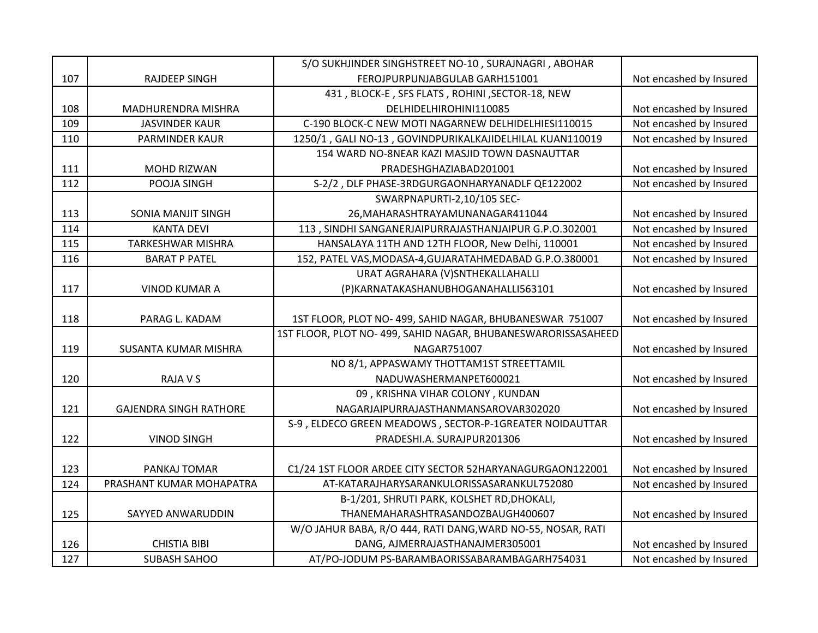|     |                               | S/O SUKHJINDER SINGHSTREET NO-10, SURAJNAGRI, ABOHAR         |                         |
|-----|-------------------------------|--------------------------------------------------------------|-------------------------|
| 107 | <b>RAJDEEP SINGH</b>          | FEROJPURPUNJABGULAB GARH151001                               | Not encashed by Insured |
|     |                               | 431, BLOCK-E, SFS FLATS, ROHINI, SECTOR-18, NEW              |                         |
| 108 | MADHURENDRA MISHRA            | DELHIDELHIROHINI110085                                       | Not encashed by Insured |
| 109 | <b>JASVINDER KAUR</b>         | C-190 BLOCK-C NEW MOTI NAGARNEW DELHIDELHIESI110015          | Not encashed by Insured |
| 110 | <b>PARMINDER KAUR</b>         | 1250/1, GALI NO-13, GOVINDPURIKALKAJIDELHILAL KUAN110019     | Not encashed by Insured |
|     |                               | 154 WARD NO-8NEAR KAZI MASJID TOWN DASNAUTTAR                |                         |
| 111 | <b>MOHD RIZWAN</b>            | PRADESHGHAZIABAD201001                                       | Not encashed by Insured |
| 112 | POOJA SINGH                   | S-2/2, DLF PHASE-3RDGURGAONHARYANADLF QE122002               | Not encashed by Insured |
|     |                               | SWARPNAPURTI-2,10/105 SEC-                                   |                         |
| 113 | SONIA MANJIT SINGH            | 26, MAHARASHTRAYAMUNANAGAR411044                             | Not encashed by Insured |
| 114 | <b>KANTA DEVI</b>             | 113, SINDHI SANGANERJAIPURRAJASTHANJAIPUR G.P.O.302001       | Not encashed by Insured |
| 115 | <b>TARKESHWAR MISHRA</b>      | HANSALAYA 11TH AND 12TH FLOOR, New Delhi, 110001             | Not encashed by Insured |
| 116 | <b>BARAT P PATEL</b>          | 152, PATEL VAS, MODASA-4, GUJARATAHMEDABAD G.P.O.380001      | Not encashed by Insured |
|     |                               | URAT AGRAHARA (V)SNTHEKALLAHALLI                             |                         |
| 117 | <b>VINOD KUMAR A</b>          | (P)KARNATAKASHANUBHOGANAHALLI563101                          | Not encashed by Insured |
|     |                               |                                                              |                         |
| 118 | PARAG L. KADAM                | 1ST FLOOR, PLOT NO-499, SAHID NAGAR, BHUBANESWAR 751007      | Not encashed by Insured |
|     |                               | 1ST FLOOR, PLOT NO-499, SAHID NAGAR, BHUBANESWARORISSASAHEED |                         |
| 119 | SUSANTA KUMAR MISHRA          | NAGAR751007                                                  | Not encashed by Insured |
|     |                               | NO 8/1, APPASWAMY THOTTAM1ST STREETTAMIL                     |                         |
| 120 | <b>RAJA V S</b>               | NADUWASHERMANPET600021                                       | Not encashed by Insured |
|     |                               | 09, KRISHNA VIHAR COLONY, KUNDAN                             |                         |
| 121 | <b>GAJENDRA SINGH RATHORE</b> | NAGARJAIPURRAJASTHANMANSAROVAR302020                         | Not encashed by Insured |
|     |                               | S-9, ELDECO GREEN MEADOWS, SECTOR-P-1GREATER NOIDAUTTAR      |                         |
| 122 | <b>VINOD SINGH</b>            | PRADESHI.A. SURAJPUR201306                                   | Not encashed by Insured |
|     |                               |                                                              |                         |
| 123 | PANKAJ TOMAR                  | C1/24 1ST FLOOR ARDEE CITY SECTOR 52HARYANAGURGAON122001     | Not encashed by Insured |
| 124 | PRASHANT KUMAR MOHAPATRA      | AT-KATARAJHARYSARANKULORISSASARANKUL752080                   | Not encashed by Insured |
|     |                               | B-1/201, SHRUTI PARK, KOLSHET RD, DHOKALI,                   |                         |
| 125 | SAYYED ANWARUDDIN             | THANEMAHARASHTRASANDOZBAUGH400607                            | Not encashed by Insured |
|     |                               | W/O JAHUR BABA, R/O 444, RATI DANG, WARD NO-55, NOSAR, RATI  |                         |
| 126 | <b>CHISTIA BIBI</b>           | DANG, AJMERRAJASTHANAJMER305001                              | Not encashed by Insured |
|     |                               |                                                              |                         |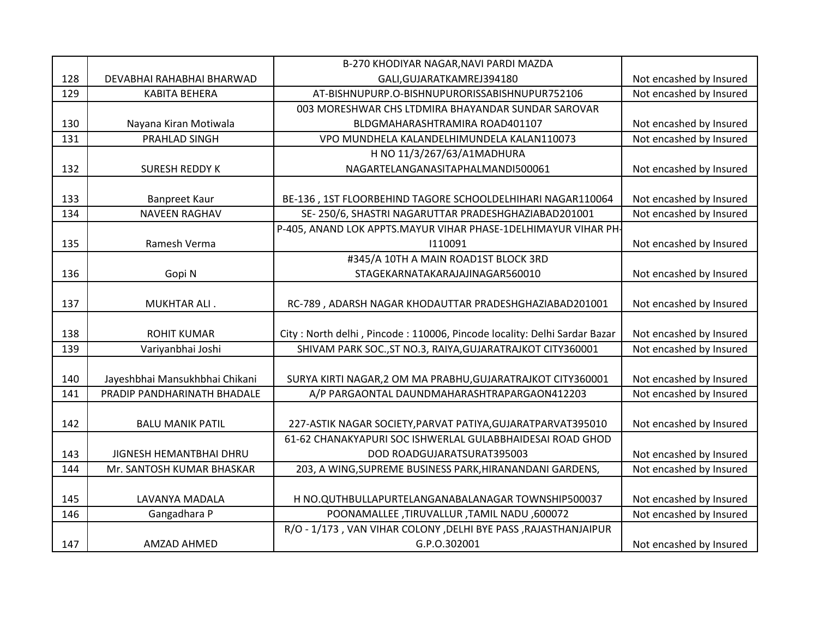|     |                                | B-270 KHODIYAR NAGAR, NAVI PARDI MAZDA                                   |                         |
|-----|--------------------------------|--------------------------------------------------------------------------|-------------------------|
| 128 | DEVABHAI RAHABHAI BHARWAD      | GALI, GUJARATKAMREJ394180                                                | Not encashed by Insured |
| 129 | <b>KABITA BEHERA</b>           | AT-BISHNUPURP.O-BISHNUPURORISSABISHNUPUR752106                           | Not encashed by Insured |
|     |                                | 003 MORESHWAR CHS LTDMIRA BHAYANDAR SUNDAR SAROVAR                       |                         |
| 130 | Nayana Kiran Motiwala          | BLDGMAHARASHTRAMIRA ROAD401107                                           | Not encashed by Insured |
| 131 | PRAHLAD SINGH                  | VPO MUNDHELA KALANDELHIMUNDELA KALAN110073                               | Not encashed by Insured |
|     |                                | H NO 11/3/267/63/A1MADHURA                                               |                         |
| 132 | <b>SURESH REDDY K</b>          | NAGARTELANGANASITAPHALMANDI500061                                        | Not encashed by Insured |
|     |                                |                                                                          |                         |
| 133 | <b>Banpreet Kaur</b>           | BE-136, 1ST FLOORBEHIND TAGORE SCHOOLDELHIHARI NAGAR110064               | Not encashed by Insured |
| 134 | <b>NAVEEN RAGHAV</b>           | SE-250/6, SHASTRI NAGARUTTAR PRADESHGHAZIABAD201001                      | Not encashed by Insured |
|     |                                | P-405, ANAND LOK APPTS.MAYUR VIHAR PHASE-1DELHIMAYUR VIHAR PH-           |                         |
| 135 | Ramesh Verma                   | 1110091                                                                  | Not encashed by Insured |
|     |                                | #345/A 10TH A MAIN ROAD1ST BLOCK 3RD                                     |                         |
| 136 | Gopi N                         | STAGEKARNATAKARAJAJINAGAR560010                                          | Not encashed by Insured |
|     |                                |                                                                          |                         |
| 137 | MUKHTAR ALI.                   | RC-789, ADARSH NAGAR KHODAUTTAR PRADESHGHAZIABAD201001                   | Not encashed by Insured |
|     |                                |                                                                          |                         |
| 138 | <b>ROHIT KUMAR</b>             | City: North delhi, Pincode: 110006, Pincode locality: Delhi Sardar Bazar | Not encashed by Insured |
| 139 | Variyanbhai Joshi              | SHIVAM PARK SOC., ST NO.3, RAIYA, GUJARATRAJKOT CITY360001               | Not encashed by Insured |
|     |                                |                                                                          |                         |
| 140 | Jayeshbhai Mansukhbhai Chikani | SURYA KIRTI NAGAR, 2 OM MA PRABHU, GUJARATRAJKOT CITY360001              | Not encashed by Insured |
| 141 | PRADIP PANDHARINATH BHADALE    | A/P PARGAONTAL DAUNDMAHARASHTRAPARGAON412203                             | Not encashed by Insured |
|     |                                |                                                                          |                         |
| 142 | <b>BALU MANIK PATIL</b>        | 227-ASTIK NAGAR SOCIETY, PARVAT PATIYA, GUJARATPARVAT395010              | Not encashed by Insured |
|     |                                | 61-62 CHANAKYAPURI SOC ISHWERLAL GULABBHAIDESAI ROAD GHOD                |                         |
| 143 | JIGNESH HEMANTBHAI DHRU        | DOD ROADGUJARATSURAT395003                                               | Not encashed by Insured |
| 144 | Mr. SANTOSH KUMAR BHASKAR      | 203, A WING, SUPREME BUSINESS PARK, HIRANANDANI GARDENS,                 | Not encashed by Insured |
|     |                                |                                                                          |                         |
| 145 | LAVANYA MADALA                 | H NO.QUTHBULLAPURTELANGANABALANAGAR TOWNSHIP500037                       | Not encashed by Insured |
| 146 | Gangadhara P                   | POONAMALLEE, TIRUVALLUR, TAMIL NADU, 600072                              | Not encashed by Insured |
|     |                                | R/O - 1/173, VAN VIHAR COLONY, DELHI BYE PASS, RAJASTHANJAIPUR           |                         |
| 147 | AMZAD AHMED                    | G.P.O.302001                                                             | Not encashed by Insured |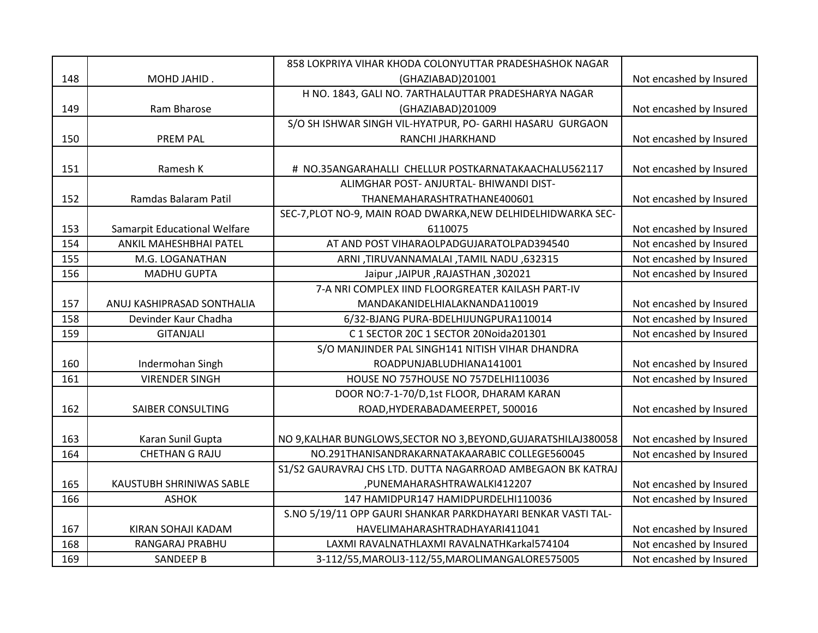|     |                              | 858 LOKPRIYA VIHAR KHODA COLONYUTTAR PRADESHASHOK NAGAR         |                         |
|-----|------------------------------|-----------------------------------------------------------------|-------------------------|
| 148 | MOHD JAHID.                  | (GHAZIABAD)201001                                               | Not encashed by Insured |
|     |                              | H NO. 1843, GALI NO. 7ARTHALAUTTAR PRADESHARYA NAGAR            |                         |
| 149 | Ram Bharose                  | (GHAZIABAD)201009                                               | Not encashed by Insured |
|     |                              | S/O SH ISHWAR SINGH VIL-HYATPUR, PO- GARHI HASARU GURGAON       |                         |
| 150 | <b>PREM PAL</b>              | RANCHI JHARKHAND                                                | Not encashed by Insured |
|     |                              |                                                                 |                         |
| 151 | Ramesh K                     | # NO.35ANGARAHALLI CHELLUR POSTKARNATAKAACHALU562117            | Not encashed by Insured |
|     |                              | ALIMGHAR POST- ANJURTAL- BHIWANDI DIST-                         |                         |
| 152 | Ramdas Balaram Patil         | THANEMAHARASHTRATHANE400601                                     | Not encashed by Insured |
|     |                              | SEC-7, PLOT NO-9, MAIN ROAD DWARKA, NEW DELHIDELHIDWARKA SEC-   |                         |
| 153 | Samarpit Educational Welfare | 6110075                                                         | Not encashed by Insured |
| 154 | ANKIL MAHESHBHAI PATEL       | AT AND POST VIHARAOLPADGUJARATOLPAD394540                       | Not encashed by Insured |
| 155 | M.G. LOGANATHAN              | ARNI, TIRUVANNAMALAI, TAMIL NADU, 632315                        | Not encashed by Insured |
| 156 | <b>MADHU GUPTA</b>           | Jaipur ,JAIPUR ,RAJASTHAN, 302021                               | Not encashed by Insured |
|     |                              | 7-A NRI COMPLEX IIND FLOORGREATER KAILASH PART-IV               |                         |
| 157 | ANUJ KASHIPRASAD SONTHALIA   | MANDAKANIDELHIALAKNANDA110019                                   | Not encashed by Insured |
| 158 | Devinder Kaur Chadha         | 6/32-BJANG PURA-BDELHIJUNGPURA110014                            | Not encashed by Insured |
| 159 | <b>GITANJALI</b>             | C 1 SECTOR 20C 1 SECTOR 20Noida201301                           | Not encashed by Insured |
|     |                              | S/O MANJINDER PAL SINGH141 NITISH VIHAR DHANDRA                 |                         |
| 160 | Indermohan Singh             | ROADPUNJABLUDHIANA141001                                        | Not encashed by Insured |
| 161 | <b>VIRENDER SINGH</b>        | HOUSE NO 757HOUSE NO 757DELHI110036                             | Not encashed by Insured |
|     |                              | DOOR NO:7-1-70/D,1st FLOOR, DHARAM KARAN                        |                         |
| 162 | SAIBER CONSULTING            | ROAD, HYDERABADAMEERPET, 500016                                 | Not encashed by Insured |
|     |                              |                                                                 |                         |
| 163 | Karan Sunil Gupta            | NO 9, KALHAR BUNGLOWS, SECTOR NO 3, BEYOND, GUJARATSHILAJ380058 | Not encashed by Insured |
| 164 | <b>CHETHAN G RAJU</b>        | NO.291THANISANDRAKARNATAKAARABIC COLLEGE560045                  | Not encashed by Insured |
|     |                              | S1/S2 GAURAVRAJ CHS LTD. DUTTA NAGARROAD AMBEGAON BK KATRAJ     |                         |
| 165 | KAUSTUBH SHRINIWAS SABLE     | ,PUNEMAHARASHTRAWALKI412207                                     | Not encashed by Insured |
| 166 | <b>ASHOK</b>                 | 147 HAMIDPUR147 HAMIDPURDELHI110036                             | Not encashed by Insured |
|     |                              | S.NO 5/19/11 OPP GAURI SHANKAR PARKDHAYARI BENKAR VASTI TAL-    |                         |
| 167 | KIRAN SOHAJI KADAM           | HAVELIMAHARASHTRADHAYARI411041                                  | Not encashed by Insured |
| 168 | RANGARAJ PRABHU              | LAXMI RAVALNATHLAXMI RAVALNATHKarkal574104                      | Not encashed by Insured |
| 169 | <b>SANDEEP B</b>             | 3-112/55, MAROLI3-112/55, MAROLIMANGALORE575005                 | Not encashed by Insured |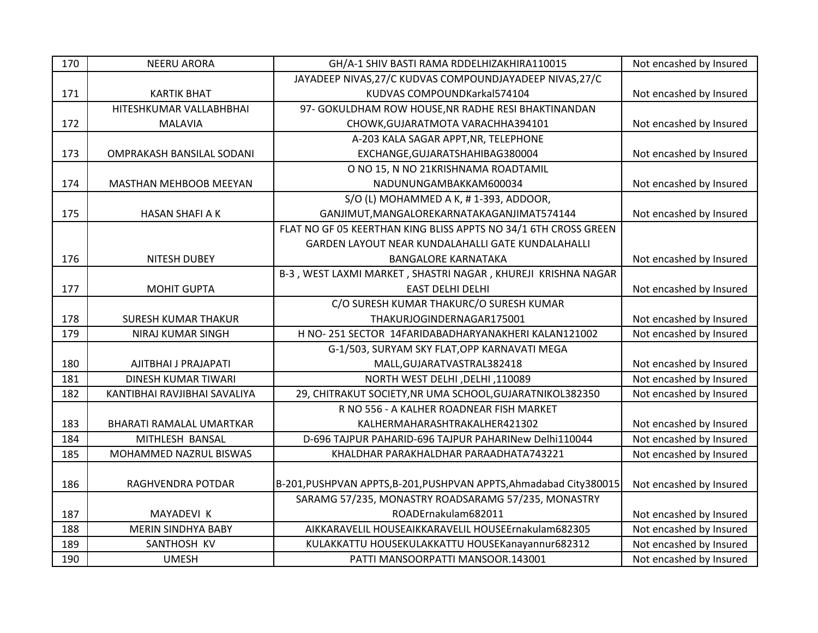| 170 | <b>NEERU ARORA</b>           | GH/A-1 SHIV BASTI RAMA RDDELHIZAKHIRA110015                         | Not encashed by Insured |
|-----|------------------------------|---------------------------------------------------------------------|-------------------------|
|     |                              | JAYADEEP NIVAS, 27/C KUDVAS COMPOUNDJAYADEEP NIVAS, 27/C            |                         |
| 171 | <b>KARTIK BHAT</b>           | KUDVAS COMPOUNDKarkal574104                                         | Not encashed by Insured |
|     | HITESHKUMAR VALLABHBHAI      | 97- GOKULDHAM ROW HOUSE, NR RADHE RESI BHAKTINANDAN                 |                         |
| 172 | <b>MALAVIA</b>               | CHOWK, GUJARATMOTA VARACHHA394101                                   | Not encashed by Insured |
|     |                              | A-203 KALA SAGAR APPT, NR, TELEPHONE                                |                         |
| 173 | OMPRAKASH BANSILAL SODANI    | EXCHANGE, GUJARATSHAHIBAG380004                                     | Not encashed by Insured |
|     |                              | O NO 15, N NO 21KRISHNAMA ROADTAMIL                                 |                         |
| 174 | MASTHAN MEHBOOB MEEYAN       | NADUNUNGAMBAKKAM600034                                              | Not encashed by Insured |
|     |                              | S/O (L) MOHAMMED A K, #1-393, ADDOOR,                               |                         |
| 175 | <b>HASAN SHAFI A K</b>       | GANJIMUT, MANGALOREKARNATAKAGANJIMAT574144                          | Not encashed by Insured |
|     |                              | FLAT NO GF 05 KEERTHAN KING BLISS APPTS NO 34/1 6TH CROSS GREEN     |                         |
|     |                              | GARDEN LAYOUT NEAR KUNDALAHALLI GATE KUNDALAHALLI                   |                         |
| 176 | <b>NITESH DUBEY</b>          | <b>BANGALORE KARNATAKA</b>                                          | Not encashed by Insured |
|     |                              | B-3, WEST LAXMI MARKET, SHASTRI NAGAR, KHUREJI KRISHNA NAGAR        |                         |
| 177 | <b>MOHIT GUPTA</b>           | <b>EAST DELHI DELHI</b>                                             | Not encashed by Insured |
|     |                              | C/O SURESH KUMAR THAKURC/O SURESH KUMAR                             |                         |
| 178 | <b>SURESH KUMAR THAKUR</b>   | THAKURJOGINDERNAGAR175001                                           | Not encashed by Insured |
| 179 | NIRAJ KUMAR SINGH            | H NO-251 SECTOR 14FARIDABADHARYANAKHERI KALAN121002                 | Not encashed by Insured |
|     |                              | G-1/503, SURYAM SKY FLAT, OPP KARNAVATI MEGA                        |                         |
| 180 | AJITBHAI J PRAJAPATI         | MALL, GUJARATVASTRAL382418                                          | Not encashed by Insured |
| 181 | DINESH KUMAR TIWARI          | NORTH WEST DELHI, DELHI, 110089                                     | Not encashed by Insured |
| 182 | KANTIBHAI RAVJIBHAI SAVALIYA | 29, CHITRAKUT SOCIETY, NR UMA SCHOOL, GUJARATNIKOL382350            | Not encashed by Insured |
|     |                              | R NO 556 - A KALHER ROADNEAR FISH MARKET                            |                         |
| 183 | BHARATI RAMALAL UMARTKAR     | KALHERMAHARASHTRAKALHER421302                                       | Not encashed by Insured |
| 184 | MITHLESH BANSAL              | D-696 TAJPUR PAHARID-696 TAJPUR PAHARINew Delhi110044               | Not encashed by Insured |
| 185 | MOHAMMED NAZRUL BISWAS       | KHALDHAR PARAKHALDHAR PARAADHATA743221                              | Not encashed by Insured |
|     |                              |                                                                     |                         |
| 186 | RAGHVENDRA POTDAR            | B-201, PUSHPVAN APPTS, B-201, PUSHPVAN APPTS, Ahmadabad City 380015 | Not encashed by Insured |
|     |                              | SARAMG 57/235, MONASTRY ROADSARAMG 57/235, MONASTRY                 |                         |
| 187 | MAYADEVI K                   | ROADErnakulam682011                                                 | Not encashed by Insured |
| 188 | <b>MERIN SINDHYA BABY</b>    | AIKKARAVELIL HOUSEAIKKARAVELIL HOUSEErnakulam682305                 | Not encashed by Insured |
| 189 | SANTHOSH KV                  | KULAKKATTU HOUSEKULAKKATTU HOUSEKanayannur682312                    | Not encashed by Insured |
| 190 | <b>UMESH</b>                 | PATTI MANSOORPATTI MANSOOR.143001                                   | Not encashed by Insured |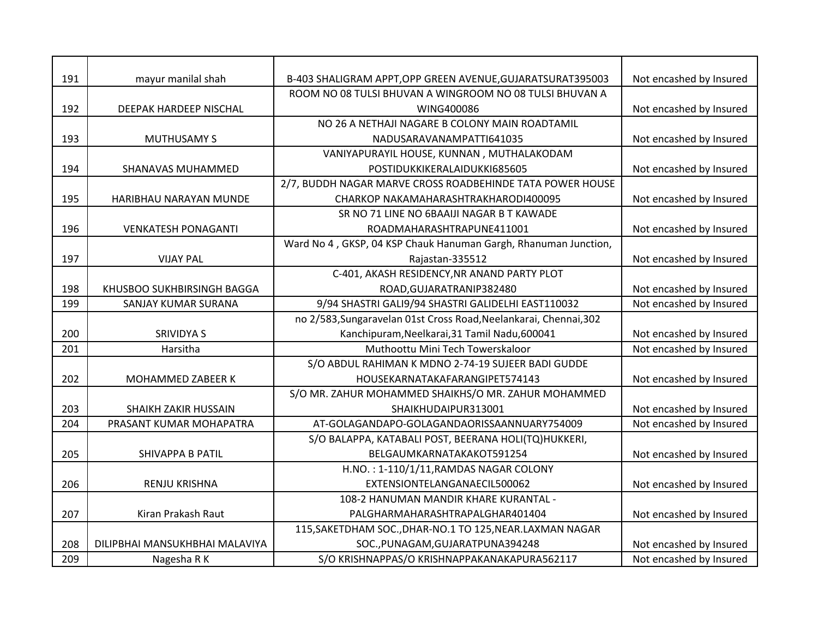| 191 | mayur manilal shah             | B-403 SHALIGRAM APPT, OPP GREEN AVENUE, GUJARATSURAT395003        | Not encashed by Insured |
|-----|--------------------------------|-------------------------------------------------------------------|-------------------------|
|     |                                | ROOM NO 08 TULSI BHUVAN A WINGROOM NO 08 TULSI BHUVAN A           |                         |
| 192 | DEEPAK HARDEEP NISCHAL         | WING400086                                                        | Not encashed by Insured |
|     |                                | NO 26 A NETHAJI NAGARE B COLONY MAIN ROADTAMIL                    |                         |
| 193 | <b>MUTHUSAMY S</b>             | NADUSARAVANAMPATTI641035                                          | Not encashed by Insured |
|     |                                | VANIYAPURAYIL HOUSE, KUNNAN, MUTHALAKODAM                         |                         |
| 194 | SHANAVAS MUHAMMED              | POSTIDUKKIKERALAIDUKKI685605                                      | Not encashed by Insured |
|     |                                | 2/7, BUDDH NAGAR MARVE CROSS ROADBEHINDE TATA POWER HOUSE         |                         |
| 195 | HARIBHAU NARAYAN MUNDE         | CHARKOP NAKAMAHARASHTRAKHARODI400095                              | Not encashed by Insured |
|     |                                | SR NO 71 LINE NO 6BAAIJI NAGAR B T KAWADE                         |                         |
| 196 | <b>VENKATESH PONAGANTI</b>     | ROADMAHARASHTRAPUNE411001                                         | Not encashed by Insured |
|     |                                | Ward No 4, GKSP, 04 KSP Chauk Hanuman Gargh, Rhanuman Junction,   |                         |
| 197 | <b>VIJAY PAL</b>               | Rajastan-335512                                                   | Not encashed by Insured |
|     |                                | C-401, AKASH RESIDENCY, NR ANAND PARTY PLOT                       |                         |
| 198 | KHUSBOO SUKHBIRSINGH BAGGA     | ROAD, GUJARATRANIP382480                                          | Not encashed by Insured |
| 199 | SANJAY KUMAR SURANA            | 9/94 SHASTRI GALI9/94 SHASTRI GALIDELHI EAST110032                | Not encashed by Insured |
|     |                                | no 2/583, Sungaravelan 01st Cross Road, Neelankarai, Chennai, 302 |                         |
| 200 | <b>SRIVIDYAS</b>               | Kanchipuram, Neelkarai, 31 Tamil Nadu, 600041                     | Not encashed by Insured |
| 201 | Harsitha                       | Muthoottu Mini Tech Towerskaloor                                  | Not encashed by Insured |
|     |                                | S/O ABDUL RAHIMAN K MDNO 2-74-19 SUJEER BADI GUDDE                |                         |
| 202 | MOHAMMED ZABEER K              | HOUSEKARNATAKAFARANGIPET574143                                    | Not encashed by Insured |
|     |                                | S/O MR. ZAHUR MOHAMMED SHAIKHS/O MR. ZAHUR MOHAMMED               |                         |
| 203 | <b>SHAIKH ZAKIR HUSSAIN</b>    | SHAIKHUDAIPUR313001                                               | Not encashed by Insured |
| 204 | PRASANT KUMAR MOHAPATRA        | AT-GOLAGANDAPO-GOLAGANDAORISSAANNUARY754009                       | Not encashed by Insured |
|     |                                | S/O BALAPPA, KATABALI POST, BEERANA HOLI(TQ)HUKKERI,              |                         |
| 205 | <b>SHIVAPPA B PATIL</b>        | BELGAUMKARNATAKAKOT591254                                         | Not encashed by Insured |
|     |                                | H.NO.: 1-110/1/11, RAMDAS NAGAR COLONY                            |                         |
| 206 | <b>RENJU KRISHNA</b>           | EXTENSIONTELANGANAECIL500062                                      | Not encashed by Insured |
|     |                                | 108-2 HANUMAN MANDIR KHARE KURANTAL -                             |                         |
| 207 | Kiran Prakash Raut             | PALGHARMAHARASHTRAPALGHAR401404                                   | Not encashed by Insured |
|     |                                | 115, SAKETDHAM SOC., DHAR-NO.1 TO 125, NEAR. LAXMAN NAGAR         |                         |
| 208 | DILIPBHAI MANSUKHBHAI MALAVIYA | SOC., PUNAGAM, GUJARATPUNA394248                                  | Not encashed by Insured |
| 209 | Nagesha R K                    | S/O KRISHNAPPAS/O KRISHNAPPAKANAKAPURA562117                      | Not encashed by Insured |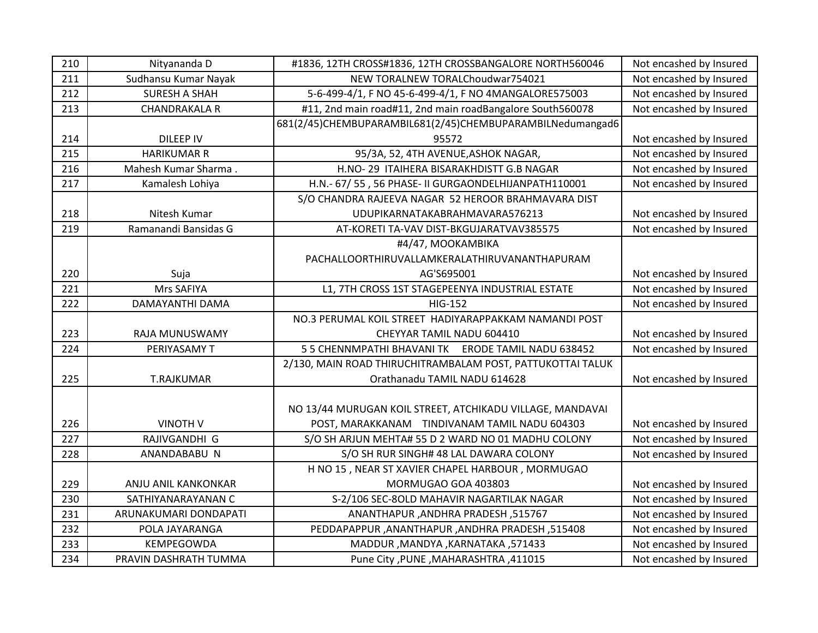| 210 | Nityananda D          | #1836, 12TH CROSS#1836, 12TH CROSSBANGALORE NORTH560046    | Not encashed by Insured |
|-----|-----------------------|------------------------------------------------------------|-------------------------|
| 211 | Sudhansu Kumar Nayak  | NEW TORALNEW TORALChoudwar754021                           | Not encashed by Insured |
| 212 | <b>SURESH A SHAH</b>  | 5-6-499-4/1, F NO 45-6-499-4/1, F NO 4MANGALORE575003      | Not encashed by Insured |
| 213 | <b>CHANDRAKALA R</b>  | #11, 2nd main road#11, 2nd main roadBangalore South560078  | Not encashed by Insured |
|     |                       | 681(2/45)CHEMBUPARAMBIL681(2/45)CHEMBUPARAMBILNedumangad6  |                         |
| 214 | <b>DILEEP IV</b>      | 95572                                                      | Not encashed by Insured |
| 215 | <b>HARIKUMAR R</b>    | 95/3A, 52, 4TH AVENUE, ASHOK NAGAR,                        | Not encashed by Insured |
| 216 | Mahesh Kumar Sharma.  | H.NO-29 ITAIHERA BISARAKHDISTT G.B NAGAR                   | Not encashed by Insured |
| 217 | Kamalesh Lohiya       | H.N.- 67/ 55, 56 PHASE- II GURGAONDELHIJANPATH110001       | Not encashed by Insured |
|     |                       | S/O CHANDRA RAJEEVA NAGAR 52 HEROOR BRAHMAVARA DIST        |                         |
| 218 | Nitesh Kumar          | UDUPIKARNATAKABRAHMAVARA576213                             | Not encashed by Insured |
| 219 | Ramanandi Bansidas G  | AT-KORETI TA-VAV DIST-BKGUJARATVAV385575                   | Not encashed by Insured |
|     |                       | #4/47, MOOKAMBIKA                                          |                         |
|     |                       | PACHALLOORTHIRUVALLAMKERALATHIRUVANANTHAPURAM              |                         |
| 220 | Suja                  | AG'S695001                                                 | Not encashed by Insured |
| 221 | Mrs SAFIYA            | L1, 7TH CROSS 1ST STAGEPEENYA INDUSTRIAL ESTATE            | Not encashed by Insured |
| 222 | DAMAYANTHI DAMA       | <b>HIG-152</b>                                             | Not encashed by Insured |
|     |                       | NO.3 PERUMAL KOIL STREET HADIYARAPPAKKAM NAMANDI POST      |                         |
| 223 | RAJA MUNUSWAMY        | CHEYYAR TAMIL NADU 604410                                  | Not encashed by Insured |
| 224 | PERIYASAMY T          | 5 5 CHENNMPATHI BHAVANI TK ERODE TAMIL NADU 638452         | Not encashed by Insured |
|     |                       | 2/130, MAIN ROAD THIRUCHITRAMBALAM POST, PATTUKOTTAI TALUK |                         |
| 225 | <b>T.RAJKUMAR</b>     | Orathanadu TAMIL NADU 614628                               | Not encashed by Insured |
|     |                       |                                                            |                         |
|     |                       | NO 13/44 MURUGAN KOIL STREET, ATCHIKADU VILLAGE, MANDAVAI  |                         |
| 226 | <b>VINOTH V</b>       | POST, MARAKKANAM TINDIVANAM TAMIL NADU 604303              | Not encashed by Insured |
| 227 | RAJIVGANDHI G         | S/O SH ARJUN MEHTA# 55 D 2 WARD NO 01 MADHU COLONY         | Not encashed by Insured |
| 228 | ANANDABABU N          | S/O SH RUR SINGH# 48 LAL DAWARA COLONY                     | Not encashed by Insured |
|     |                       | H NO 15, NEAR ST XAVIER CHAPEL HARBOUR, MORMUGAO           |                         |
| 229 | ANJU ANIL KANKONKAR   | MORMUGAO GOA 403803                                        | Not encashed by Insured |
| 230 | SATHIYANARAYANAN C    | S-2/106 SEC-8OLD MAHAVIR NAGARTILAK NAGAR                  | Not encashed by Insured |
| 231 | ARUNAKUMARI DONDAPATI | ANANTHAPUR, ANDHRA PRADESH, 515767                         | Not encashed by Insured |
| 232 | POLA JAYARANGA        | PEDDAPAPPUR, ANANTHAPUR, ANDHRA PRADESH, 515408            | Not encashed by Insured |
| 233 | KEMPEGOWDA            | MADDUR, MANDYA, KARNATAKA, 571433                          | Not encashed by Insured |
| 234 | PRAVIN DASHRATH TUMMA | Pune City , PUNE, MAHARASHTRA, 411015                      | Not encashed by Insured |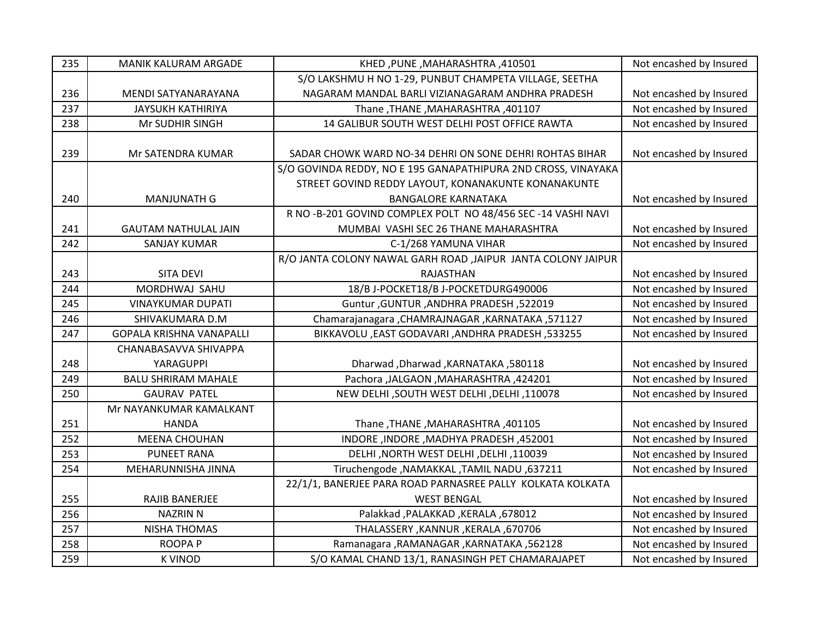| 235 | MANIK KALURAM ARGADE            | KHED, PUNE, MAHARASHTRA, 410501                               | Not encashed by Insured |
|-----|---------------------------------|---------------------------------------------------------------|-------------------------|
|     |                                 | S/O LAKSHMU H NO 1-29, PUNBUT CHAMPETA VILLAGE, SEETHA        |                         |
| 236 | MENDI SATYANARAYANA             | NAGARAM MANDAL BARLI VIZIANAGARAM ANDHRA PRADESH              | Not encashed by Insured |
| 237 | <b>JAYSUKH KATHIRIYA</b>        | Thane, THANE, MAHARASHTRA, 401107                             | Not encashed by Insured |
| 238 | Mr SUDHIR SINGH                 | 14 GALIBUR SOUTH WEST DELHI POST OFFICE RAWTA                 | Not encashed by Insured |
|     |                                 |                                                               |                         |
| 239 | Mr SATENDRA KUMAR               | SADAR CHOWK WARD NO-34 DEHRI ON SONE DEHRI ROHTAS BIHAR       | Not encashed by Insured |
|     |                                 | S/O GOVINDA REDDY, NO E 195 GANAPATHIPURA 2ND CROSS, VINAYAKA |                         |
|     |                                 | STREET GOVIND REDDY LAYOUT, KONANAKUNTE KONANAKUNTE           |                         |
| 240 | <b>MANJUNATH G</b>              | <b>BANGALORE KARNATAKA</b>                                    | Not encashed by Insured |
|     |                                 | R NO -B-201 GOVIND COMPLEX POLT NO 48/456 SEC -14 VASHI NAVI  |                         |
| 241 | <b>GAUTAM NATHULAL JAIN</b>     | MUMBAI VASHI SEC 26 THANE MAHARASHTRA                         | Not encashed by Insured |
| 242 | <b>SANJAY KUMAR</b>             | C-1/268 YAMUNA VIHAR                                          | Not encashed by Insured |
|     |                                 | R/O JANTA COLONY NAWAL GARH ROAD , JAIPUR JANTA COLONY JAIPUR |                         |
| 243 | <b>SITA DEVI</b>                | <b>RAJASTHAN</b>                                              | Not encashed by Insured |
| 244 | MORDHWAJ SAHU                   | 18/B J-POCKET18/B J-POCKETDURG490006                          | Not encashed by Insured |
| 245 | <b>VINAYKUMAR DUPATI</b>        | Guntur, GUNTUR, ANDHRA PRADESH, 522019                        | Not encashed by Insured |
| 246 | SHIVAKUMARA D.M                 | Chamarajanagara , CHAMRAJNAGAR , KARNATAKA , 571127           | Not encashed by Insured |
| 247 | <b>GOPALA KRISHNA VANAPALLI</b> | BIKKAVOLU, EAST GODAVARI, ANDHRA PRADESH, 533255              | Not encashed by Insured |
|     | CHANABASAVVA SHIVAPPA           |                                                               |                         |
| 248 | YARAGUPPI                       | Dharwad, Dharwad, KARNATAKA, 580118                           | Not encashed by Insured |
| 249 | <b>BALU SHRIRAM MAHALE</b>      | Pachora ,JALGAON ,MAHARASHTRA ,424201                         | Not encashed by Insured |
| 250 | <b>GAURAV PATEL</b>             | NEW DELHI , SOUTH WEST DELHI , DELHI , 110078                 | Not encashed by Insured |
|     | Mr NAYANKUMAR KAMALKANT         |                                                               |                         |
| 251 | <b>HANDA</b>                    | Thane, THANE, MAHARASHTRA, 401105                             | Not encashed by Insured |
| 252 | <b>MEENA CHOUHAN</b>            | INDORE, INDORE, MADHYA PRADESH, 452001                        | Not encashed by Insured |
| 253 | <b>PUNEET RANA</b>              | DELHI, NORTH WEST DELHI, DELHI, 110039                        | Not encashed by Insured |
| 254 | MEHARUNNISHA JINNA              | Tiruchengode , NAMAKKAL , TAMIL NADU, 637211                  | Not encashed by Insured |
|     |                                 | 22/1/1, BANERJEE PARA ROAD PARNASREE PALLY KOLKATA KOLKATA    |                         |
| 255 | RAJIB BANERJEE                  | <b>WEST BENGAL</b>                                            | Not encashed by Insured |
| 256 | <b>NAZRIN N</b>                 | Palakkad , PALAKKAD , KERALA , 678012                         | Not encashed by Insured |
| 257 | <b>NISHA THOMAS</b>             | THALASSERY, KANNUR, KERALA, 670706                            | Not encashed by Insured |
| 258 | <b>ROOPAP</b>                   | Ramanagara , RAMANAGAR , KARNATAKA , 562128                   | Not encashed by Insured |
| 259 | <b>K VINOD</b>                  | S/O KAMAL CHAND 13/1, RANASINGH PET CHAMARAJAPET              | Not encashed by Insured |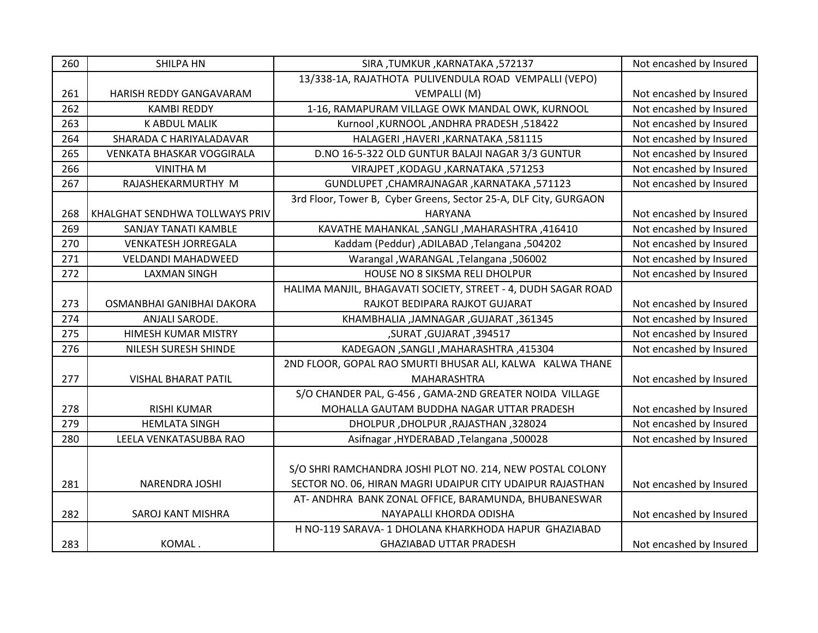| 260 | <b>SHILPA HN</b>                 | SIRA, TUMKUR, KARNATAKA, 572137                                  | Not encashed by Insured |
|-----|----------------------------------|------------------------------------------------------------------|-------------------------|
|     |                                  | 13/338-1A, RAJATHOTA PULIVENDULA ROAD VEMPALLI (VEPO)            |                         |
| 261 | HARISH REDDY GANGAVARAM          | VEMPALLI (M)                                                     | Not encashed by Insured |
| 262 | <b>KAMBI REDDY</b>               | 1-16, RAMAPURAM VILLAGE OWK MANDAL OWK, KURNOOL                  | Not encashed by Insured |
| 263 | <b>K ABDUL MALIK</b>             | Kurnool ,KURNOOL ,ANDHRA PRADESH ,518422                         | Not encashed by Insured |
| 264 | SHARADA C HARIYALADAVAR          | HALAGERI, HAVERI, KARNATAKA, 581115                              | Not encashed by Insured |
| 265 | <b>VENKATA BHASKAR VOGGIRALA</b> | D.NO 16-5-322 OLD GUNTUR BALAJI NAGAR 3/3 GUNTUR                 | Not encashed by Insured |
| 266 | <b>VINITHA M</b>                 | VIRAJPET, KODAGU, KARNATAKA, 571253                              | Not encashed by Insured |
| 267 | RAJASHEKARMURTHY M               | GUNDLUPET, CHAMRAJNAGAR, KARNATAKA, 571123                       | Not encashed by Insured |
|     |                                  | 3rd Floor, Tower B, Cyber Greens, Sector 25-A, DLF City, GURGAON |                         |
| 268 | KHALGHAT SENDHWA TOLLWAYS PRIV   | <b>HARYANA</b>                                                   | Not encashed by Insured |
| 269 | SANJAY TANATI KAMBLE             | KAVATHE MAHANKAL, SANGLI, MAHARASHTRA, 416410                    | Not encashed by Insured |
| 270 | <b>VENKATESH JORREGALA</b>       | Kaddam (Peddur) ,ADILABAD ,Telangana ,504202                     | Not encashed by Insured |
| 271 | <b>VELDANDI MAHADWEED</b>        | Varangal, WARANGAL, Telangana, 506002                            | Not encashed by Insured |
| 272 | <b>LAXMAN SINGH</b>              | HOUSE NO 8 SIKSMA RELI DHOLPUR                                   | Not encashed by Insured |
|     |                                  | HALIMA MANJIL, BHAGAVATI SOCIETY, STREET - 4, DUDH SAGAR ROAD    |                         |
| 273 | OSMANBHAI GANIBHAI DAKORA        | RAJKOT BEDIPARA RAJKOT GUJARAT                                   | Not encashed by Insured |
| 274 | ANJALI SARODE.                   | KHAMBHALIA, JAMNAGAR, GUJARAT, 361345                            | Not encashed by Insured |
| 275 | HIMESH KUMAR MISTRY              | ,SURAT, GUJARAT, 394517                                          | Not encashed by Insured |
| 276 | NILESH SURESH SHINDE             | KADEGAON, SANGLI, MAHARASHTRA, 415304                            | Not encashed by Insured |
|     |                                  | 2ND FLOOR, GOPAL RAO SMURTI BHUSAR ALI, KALWA KALWA THANE        |                         |
| 277 | <b>VISHAL BHARAT PATIL</b>       | MAHARASHTRA                                                      | Not encashed by Insured |
|     |                                  | S/O CHANDER PAL, G-456, GAMA-2ND GREATER NOIDA VILLAGE           |                         |
| 278 | <b>RISHI KUMAR</b>               | MOHALLA GAUTAM BUDDHA NAGAR UTTAR PRADESH                        | Not encashed by Insured |
| 279 | <b>HEMLATA SINGH</b>             | DHOLPUR, DHOLPUR, RAJASTHAN, 328024                              | Not encashed by Insured |
| 280 | LEELA VENKATASUBBA RAO           | Asifnagar, HYDERABAD, Telangana, 500028                          | Not encashed by Insured |
|     |                                  |                                                                  |                         |
|     |                                  | S/O SHRI RAMCHANDRA JOSHI PLOT NO. 214, NEW POSTAL COLONY        |                         |
| 281 | NARENDRA JOSHI                   | SECTOR NO. 06, HIRAN MAGRI UDAIPUR CITY UDAIPUR RAJASTHAN        | Not encashed by Insured |
|     |                                  | AT- ANDHRA BANK ZONAL OFFICE, BARAMUNDA, BHUBANESWAR             |                         |
| 282 | SAROJ KANT MISHRA                | NAYAPALLI KHORDA ODISHA                                          | Not encashed by Insured |
|     |                                  | H NO-119 SARAVA- 1 DHOLANA KHARKHODA HAPUR GHAZIABAD             |                         |
| 283 | KOMAL.                           | <b>GHAZIABAD UTTAR PRADESH</b>                                   | Not encashed by Insured |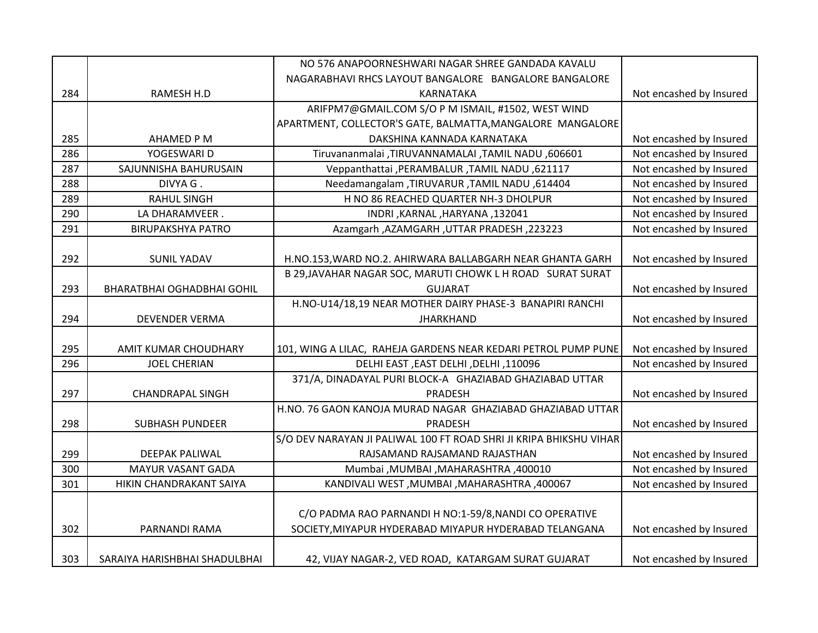|     |                                   | NO 576 ANAPOORNESHWARI NAGAR SHREE GANDADA KAVALU                  |                         |
|-----|-----------------------------------|--------------------------------------------------------------------|-------------------------|
|     |                                   | NAGARABHAVI RHCS LAYOUT BANGALORE BANGALORE BANGALORE              |                         |
| 284 | RAMESH H.D                        | KARNATAKA                                                          | Not encashed by Insured |
|     |                                   | ARIFPM7@GMAIL.COM S/O P M ISMAIL, #1502, WEST WIND                 |                         |
|     |                                   | APARTMENT, COLLECTOR'S GATE, BALMATTA, MANGALORE MANGALORE         |                         |
| 285 | AHAMED P M                        | DAKSHINA KANNADA KARNATAKA                                         | Not encashed by Insured |
| 286 | YOGESWARI D                       | Tiruvananmalai ,TIRUVANNAMALAI ,TAMIL NADU ,606601                 | Not encashed by Insured |
| 287 | SAJUNNISHA BAHURUSAIN             | Veppanthattai , PERAMBALUR , TAMIL NADU, 621117                    | Not encashed by Insured |
| 288 | DIVYA G.                          | Needamangalam ,TIRUVARUR ,TAMIL NADU ,614404                       | Not encashed by Insured |
| 289 | <b>RAHUL SINGH</b>                | H NO 86 REACHED QUARTER NH-3 DHOLPUR                               | Not encashed by Insured |
| 290 | LA DHARAMVEER.                    | INDRI, KARNAL, HARYANA, 132041                                     | Not encashed by Insured |
| 291 | <b>BIRUPAKSHYA PATRO</b>          | Azamgarh, AZAMGARH, UTTAR PRADESH, 223223                          | Not encashed by Insured |
|     |                                   |                                                                    |                         |
| 292 | <b>SUNIL YADAV</b>                | H.NO.153, WARD NO.2. AHIRWARA BALLABGARH NEAR GHANTA GARH          | Not encashed by Insured |
|     |                                   | B 29, JAVAHAR NAGAR SOC, MARUTI CHOWK L H ROAD SURAT SURAT         |                         |
| 293 | <b>BHARATBHAI OGHADBHAI GOHIL</b> | <b>GUJARAT</b>                                                     | Not encashed by Insured |
|     |                                   | H.NO-U14/18,19 NEAR MOTHER DAIRY PHASE-3 BANAPIRI RANCHI           |                         |
| 294 | <b>DEVENDER VERMA</b>             | <b>JHARKHAND</b>                                                   | Not encashed by Insured |
|     |                                   |                                                                    |                         |
| 295 | AMIT KUMAR CHOUDHARY              | 101, WING A LILAC, RAHEJA GARDENS NEAR KEDARI PETROL PUMP PUNE     | Not encashed by Insured |
| 296 | <b>JOEL CHERIAN</b>               | DELHI EAST , EAST DELHI , DELHI , 110096                           | Not encashed by Insured |
|     |                                   | 371/A, DINADAYAL PURI BLOCK-A GHAZIABAD GHAZIABAD UTTAR            |                         |
| 297 | <b>CHANDRAPAL SINGH</b>           | PRADESH                                                            | Not encashed by Insured |
|     |                                   | H.NO. 76 GAON KANOJA MURAD NAGAR GHAZIABAD GHAZIABAD UTTAR         |                         |
| 298 | <b>SUBHASH PUNDEER</b>            | <b>PRADESH</b>                                                     | Not encashed by Insured |
|     |                                   | S/O DEV NARAYAN JI PALIWAL 100 FT ROAD SHRI JI KRIPA BHIKSHU VIHAR |                         |
| 299 | <b>DEEPAK PALIWAL</b>             | RAJSAMAND RAJSAMAND RAJASTHAN                                      | Not encashed by Insured |
| 300 | MAYUR VASANT GADA                 | Mumbai , MUMBAI , MAHARASHTRA , 400010                             | Not encashed by Insured |
| 301 | HIKIN CHANDRAKANT SAIYA           | KANDIVALI WEST, MUMBAI, MAHARASHTRA, 400067                        | Not encashed by Insured |
|     |                                   |                                                                    |                         |
|     |                                   | C/O PADMA RAO PARNANDI H NO:1-59/8, NANDI CO OPERATIVE             |                         |
| 302 | PARNANDI RAMA                     | SOCIETY, MIYAPUR HYDERABAD MIYAPUR HYDERABAD TELANGANA             | Not encashed by Insured |
|     |                                   |                                                                    |                         |
| 303 | SARAIYA HARISHBHAI SHADULBHAI     | 42, VIJAY NAGAR-2, VED ROAD, KATARGAM SURAT GUJARAT                | Not encashed by Insured |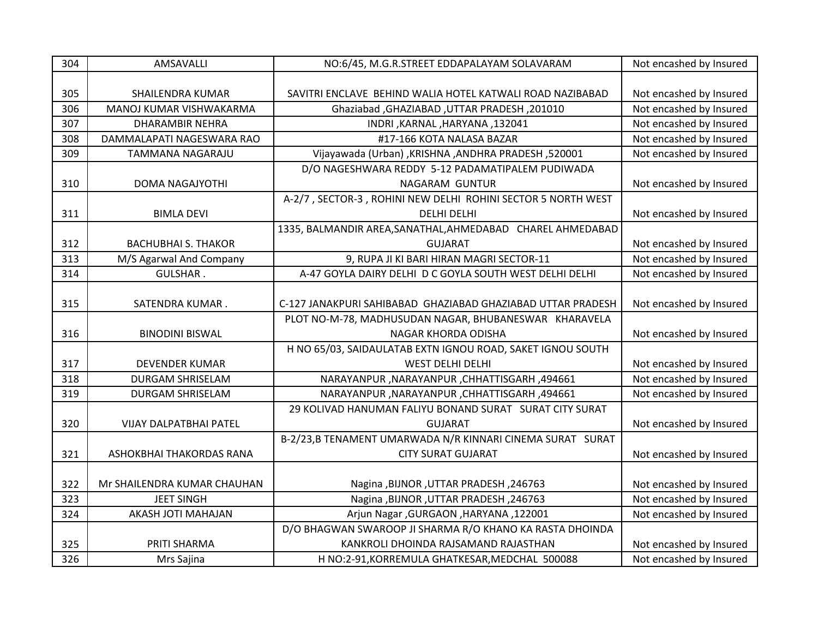| 304 | AMSAVALLI                     | NO:6/45, M.G.R.STREET EDDAPALAYAM SOLAVARAM                  | Not encashed by Insured |
|-----|-------------------------------|--------------------------------------------------------------|-------------------------|
|     |                               |                                                              |                         |
| 305 | SHAILENDRA KUMAR              | SAVITRI ENCLAVE BEHIND WALIA HOTEL KATWALI ROAD NAZIBABAD    | Not encashed by Insured |
| 306 | MANOJ KUMAR VISHWAKARMA       | Ghaziabad , GHAZIABAD , UTTAR PRADESH, 201010                | Not encashed by Insured |
| 307 | <b>DHARAMBIR NEHRA</b>        | INDRI, KARNAL, HARYANA, 132041                               | Not encashed by Insured |
| 308 | DAMMALAPATI NAGESWARA RAO     | #17-166 KOTA NALASA BAZAR                                    | Not encashed by Insured |
| 309 | TAMMANA NAGARAJU              | Vijayawada (Urban) ,KRISHNA ,ANDHRA PRADESH ,520001          | Not encashed by Insured |
|     |                               | D/O NAGESHWARA REDDY 5-12 PADAMATIPALEM PUDIWADA             |                         |
| 310 | DOMA NAGAJYOTHI               | NAGARAM GUNTUR                                               | Not encashed by Insured |
|     |                               | A-2/7, SECTOR-3, ROHINI NEW DELHI ROHINI SECTOR 5 NORTH WEST |                         |
| 311 | <b>BIMLA DEVI</b>             | <b>DELHI DELHI</b>                                           | Not encashed by Insured |
|     |                               | 1335, BALMANDIR AREA, SANATHAL, AHMEDABAD CHAREL AHMEDABAD   |                         |
| 312 | <b>BACHUBHAI S. THAKOR</b>    | <b>GUJARAT</b>                                               | Not encashed by Insured |
| 313 | M/S Agarwal And Company       | 9, RUPA JI KI BARI HIRAN MAGRI SECTOR-11                     | Not encashed by Insured |
| 314 | <b>GULSHAR.</b>               | A-47 GOYLA DAIRY DELHI D C GOYLA SOUTH WEST DELHI DELHI      | Not encashed by Insured |
|     |                               |                                                              |                         |
| 315 | SATENDRA KUMAR.               | C-127 JANAKPURI SAHIBABAD GHAZIABAD GHAZIABAD UTTAR PRADESH  | Not encashed by Insured |
|     |                               | PLOT NO-M-78, MADHUSUDAN NAGAR, BHUBANESWAR KHARAVELA        |                         |
| 316 | <b>BINODINI BISWAL</b>        | NAGAR KHORDA ODISHA                                          | Not encashed by Insured |
|     |                               | H NO 65/03, SAIDAULATAB EXTN IGNOU ROAD, SAKET IGNOU SOUTH   |                         |
| 317 | <b>DEVENDER KUMAR</b>         | <b>WEST DELHI DELHI</b>                                      | Not encashed by Insured |
| 318 | DURGAM SHRISELAM              | NARAYANPUR, NARAYANPUR, CHHATTISGARH, 494661                 | Not encashed by Insured |
| 319 | DURGAM SHRISELAM              | NARAYANPUR, NARAYANPUR, CHHATTISGARH, 494661                 | Not encashed by Insured |
|     |                               | 29 KOLIVAD HANUMAN FALIYU BONAND SURAT SURAT CITY SURAT      |                         |
| 320 | <b>VIJAY DALPATBHAI PATEL</b> | <b>GUJARAT</b>                                               | Not encashed by Insured |
|     |                               | B-2/23,B TENAMENT UMARWADA N/R KINNARI CINEMA SURAT SURAT    |                         |
| 321 | ASHOKBHAI THAKORDAS RANA      | <b>CITY SURAT GUJARAT</b>                                    | Not encashed by Insured |
|     |                               |                                                              |                         |
| 322 | Mr SHAILENDRA KUMAR CHAUHAN   | Nagina , BIJNOR , UTTAR PRADESH, 246763                      | Not encashed by Insured |
| 323 | <b>JEET SINGH</b>             | Nagina , BIJNOR , UTTAR PRADESH, 246763                      | Not encashed by Insured |
| 324 | AKASH JOTI MAHAJAN            | Arjun Nagar , GURGAON , HARYANA , 122001                     | Not encashed by Insured |
|     |                               | D/O BHAGWAN SWAROOP JI SHARMA R/O KHANO KA RASTA DHOINDA     |                         |
|     | PRITI SHARMA                  | KANKROLI DHOINDA RAJSAMAND RAJASTHAN                         | Not encashed by Insured |
| 325 |                               |                                                              |                         |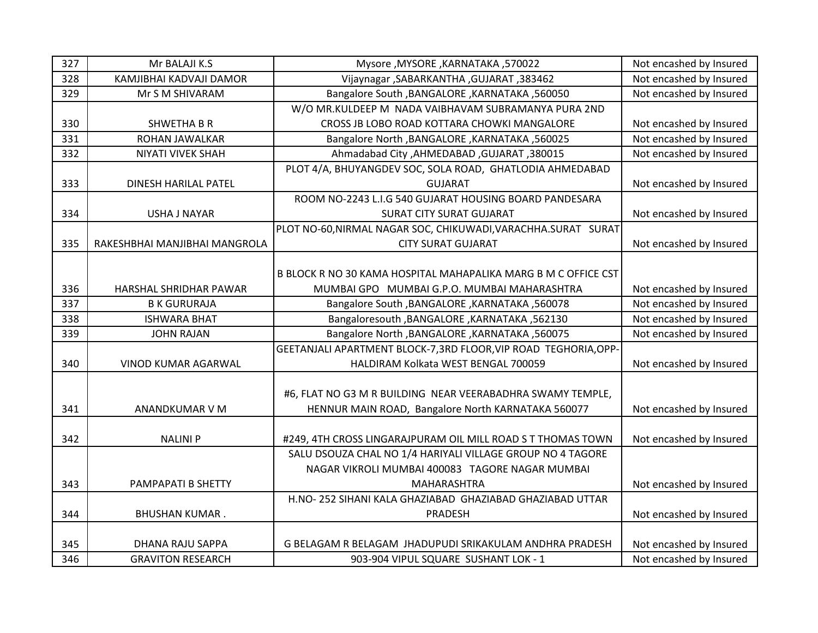| 327 | Mr BALAJI K.S                 | Mysore, MYSORE, KARNATAKA, 570022                                                                                | Not encashed by Insured                            |
|-----|-------------------------------|------------------------------------------------------------------------------------------------------------------|----------------------------------------------------|
| 328 | KAMJIBHAI KADVAJI DAMOR       | Vijaynagar, SABARKANTHA, GUJARAT, 383462                                                                         | Not encashed by Insured                            |
| 329 | Mr S M SHIVARAM               | Bangalore South , BANGALORE , KARNATAKA , 560050                                                                 | Not encashed by Insured                            |
|     |                               | W/O MR.KULDEEP M NADA VAIBHAVAM SUBRAMANYA PURA 2ND                                                              |                                                    |
| 330 | <b>SHWETHA B R</b>            | CROSS JB LOBO ROAD KOTTARA CHOWKI MANGALORE                                                                      | Not encashed by Insured                            |
| 331 | ROHAN JAWALKAR                | Bangalore North , BANGALORE , KARNATAKA , 560025                                                                 | Not encashed by Insured                            |
| 332 | NIYATI VIVEK SHAH             | Ahmadabad City, AHMEDABAD, GUJARAT, 380015                                                                       | Not encashed by Insured                            |
|     |                               | PLOT 4/A, BHUYANGDEV SOC, SOLA ROAD, GHATLODIA AHMEDABAD                                                         |                                                    |
| 333 | DINESH HARILAL PATEL          | <b>GUJARAT</b>                                                                                                   | Not encashed by Insured                            |
|     |                               | ROOM NO-2243 L.I.G 540 GUJARAT HOUSING BOARD PANDESARA                                                           |                                                    |
| 334 | <b>USHA J NAYAR</b>           | <b>SURAT CITY SURAT GUJARAT</b>                                                                                  | Not encashed by Insured                            |
|     |                               | PLOT NO-60, NIRMAL NAGAR SOC, CHIKUWADI, VARACHHA. SURAT SURAT                                                   |                                                    |
| 335 | RAKESHBHAI MANJIBHAI MANGROLA | <b>CITY SURAT GUJARAT</b>                                                                                        | Not encashed by Insured                            |
|     |                               |                                                                                                                  |                                                    |
|     |                               | B BLOCK R NO 30 KAMA HOSPITAL MAHAPALIKA MARG B M C OFFICE CST                                                   |                                                    |
| 336 | HARSHAL SHRIDHAR PAWAR        | MUMBAI GPO MUMBAI G.P.O. MUMBAI MAHARASHTRA                                                                      | Not encashed by Insured                            |
| 337 | <b>B K GURURAJA</b>           | Bangalore South , BANGALORE , KARNATAKA , 560078                                                                 | Not encashed by Insured                            |
| 338 | <b>ISHWARA BHAT</b>           | Bangaloresouth , BANGALORE , KARNATAKA , 562130                                                                  | Not encashed by Insured                            |
| 339 | <b>JOHN RAJAN</b>             | Bangalore North , BANGALORE , KARNATAKA , 560075                                                                 | Not encashed by Insured                            |
|     |                               | GEETANJALI APARTMENT BLOCK-7,3RD FLOOR, VIP ROAD TEGHORIA, OPP-                                                  |                                                    |
| 340 | VINOD KUMAR AGARWAL           | HALDIRAM Kolkata WEST BENGAL 700059                                                                              | Not encashed by Insured                            |
| 341 | ANANDKUMAR V M                | #6, FLAT NO G3 M R BUILDING NEAR VEERABADHRA SWAMY TEMPLE,<br>HENNUR MAIN ROAD, Bangalore North KARNATAKA 560077 | Not encashed by Insured                            |
|     |                               |                                                                                                                  |                                                    |
| 342 | <b>NALINI P</b>               | #249, 4TH CROSS LINGARAJPURAM OIL MILL ROAD ST THOMAS TOWN                                                       | Not encashed by Insured                            |
|     |                               | SALU DSOUZA CHAL NO 1/4 HARIYALI VILLAGE GROUP NO 4 TAGORE                                                       |                                                    |
|     |                               | NAGAR VIKROLI MUMBAI 400083 TAGORE NAGAR MUMBAI                                                                  |                                                    |
| 343 | PAMPAPATI B SHETTY            | <b>MAHARASHTRA</b>                                                                                               | Not encashed by Insured                            |
|     |                               | H.NO-252 SIHANI KALA GHAZIABAD GHAZIABAD GHAZIABAD UTTAR                                                         |                                                    |
| 344 | <b>BHUSHAN KUMAR.</b>         | PRADESH                                                                                                          | Not encashed by Insured                            |
| 345 | DHANA RAJU SAPPA              | G BELAGAM R BELAGAM JHADUPUDI SRIKAKULAM ANDHRA PRADESH                                                          |                                                    |
| 346 | <b>GRAVITON RESEARCH</b>      | 903-904 VIPUL SQUARE SUSHANT LOK - 1                                                                             | Not encashed by Insured<br>Not encashed by Insured |
|     |                               |                                                                                                                  |                                                    |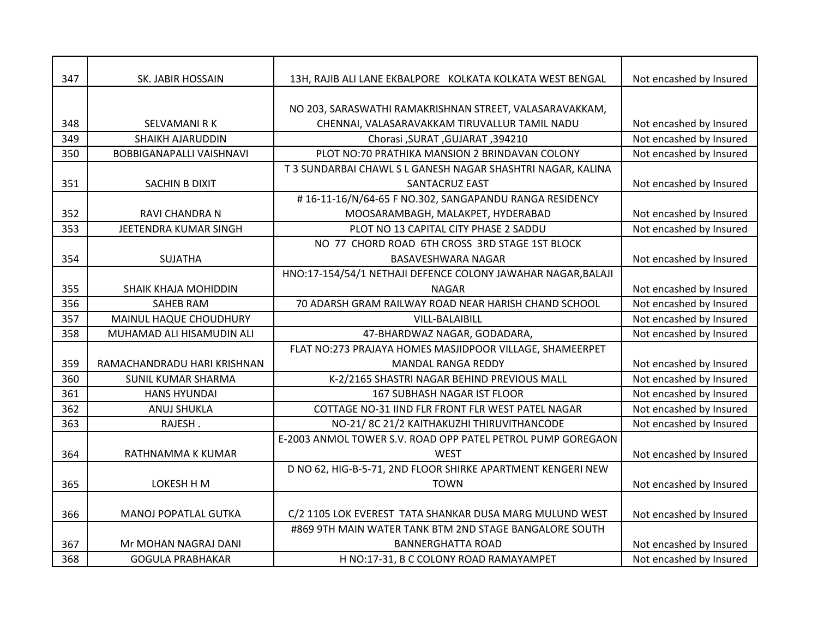| 347 | SK. JABIR HOSSAIN               | 13H, RAJIB ALI LANE EKBALPORE KOLKATA KOLKATA WEST BENGAL    | Not encashed by Insured |
|-----|---------------------------------|--------------------------------------------------------------|-------------------------|
|     |                                 |                                                              |                         |
|     |                                 | NO 203, SARASWATHI RAMAKRISHNAN STREET, VALASARAVAKKAM,      |                         |
| 348 | <b>SELVAMANI R K</b>            | CHENNAI, VALASARAVAKKAM TIRUVALLUR TAMIL NADU                | Not encashed by Insured |
| 349 | <b>SHAIKH AJARUDDIN</b>         | Chorasi , SURAT , GUJARAT , 394210                           | Not encashed by Insured |
| 350 | <b>BOBBIGANAPALLI VAISHNAVI</b> | PLOT NO:70 PRATHIKA MANSION 2 BRINDAVAN COLONY               | Not encashed by Insured |
|     |                                 | T 3 SUNDARBAI CHAWL S L GANESH NAGAR SHASHTRI NAGAR, KALINA  |                         |
| 351 | SACHIN B DIXIT                  | SANTACRUZ EAST                                               | Not encashed by Insured |
|     |                                 | #16-11-16/N/64-65 F NO.302, SANGAPANDU RANGA RESIDENCY       |                         |
| 352 | <b>RAVI CHANDRA N</b>           | MOOSARAMBAGH, MALAKPET, HYDERABAD                            | Not encashed by Insured |
| 353 | JEETENDRA KUMAR SINGH           | PLOT NO 13 CAPITAL CITY PHASE 2 SADDU                        | Not encashed by Insured |
|     |                                 | NO 77 CHORD ROAD 6TH CROSS 3RD STAGE 1ST BLOCK               |                         |
| 354 | <b>SUJATHA</b>                  | BASAVESHWARA NAGAR                                           | Not encashed by Insured |
|     |                                 | HNO:17-154/54/1 NETHAJI DEFENCE COLONY JAWAHAR NAGAR, BALAJI |                         |
| 355 | <b>SHAIK KHAJA MOHIDDIN</b>     | <b>NAGAR</b>                                                 | Not encashed by Insured |
| 356 | SAHEB RAM                       | 70 ADARSH GRAM RAILWAY ROAD NEAR HARISH CHAND SCHOOL         | Not encashed by Insured |
| 357 | MAINUL HAQUE CHOUDHURY          | <b>VILL-BALAIBILL</b>                                        | Not encashed by Insured |
| 358 | MUHAMAD ALI HISAMUDIN ALI       | 47-BHARDWAZ NAGAR, GODADARA,                                 | Not encashed by Insured |
|     |                                 | FLAT NO:273 PRAJAYA HOMES MASJIDPOOR VILLAGE, SHAMEERPET     |                         |
| 359 | RAMACHANDRADU HARI KRISHNAN     | <b>MANDAL RANGA REDDY</b>                                    | Not encashed by Insured |
| 360 | <b>SUNIL KUMAR SHARMA</b>       | K-2/2165 SHASTRI NAGAR BEHIND PREVIOUS MALL                  | Not encashed by Insured |
| 361 | <b>HANS HYUNDAI</b>             | <b>167 SUBHASH NAGAR IST FLOOR</b>                           | Not encashed by Insured |
| 362 | <b>ANUJ SHUKLA</b>              | COTTAGE NO-31 IIND FLR FRONT FLR WEST PATEL NAGAR            | Not encashed by Insured |
| 363 | RAJESH.                         | NO-21/8C 21/2 KAITHAKUZHI THIRUVITHANCODE                    | Not encashed by Insured |
|     |                                 | E-2003 ANMOL TOWER S.V. ROAD OPP PATEL PETROL PUMP GOREGAON  |                         |
| 364 | RATHNAMMA K KUMAR               | <b>WEST</b>                                                  | Not encashed by Insured |
|     |                                 | D NO 62, HIG-B-5-71, 2ND FLOOR SHIRKE APARTMENT KENGERI NEW  |                         |
| 365 | LOKESH H M                      | <b>TOWN</b>                                                  | Not encashed by Insured |
|     |                                 |                                                              |                         |
| 366 | <b>MANOJ POPATLAL GUTKA</b>     | C/2 1105 LOK EVEREST TATA SHANKAR DUSA MARG MULUND WEST      | Not encashed by Insured |
|     |                                 | #869 9TH MAIN WATER TANK BTM 2ND STAGE BANGALORE SOUTH       |                         |
| 367 | Mr MOHAN NAGRAJ DANI            | <b>BANNERGHATTA ROAD</b>                                     | Not encashed by Insured |
| 368 | <b>GOGULA PRABHAKAR</b>         | H NO:17-31, B C COLONY ROAD RAMAYAMPET                       | Not encashed by Insured |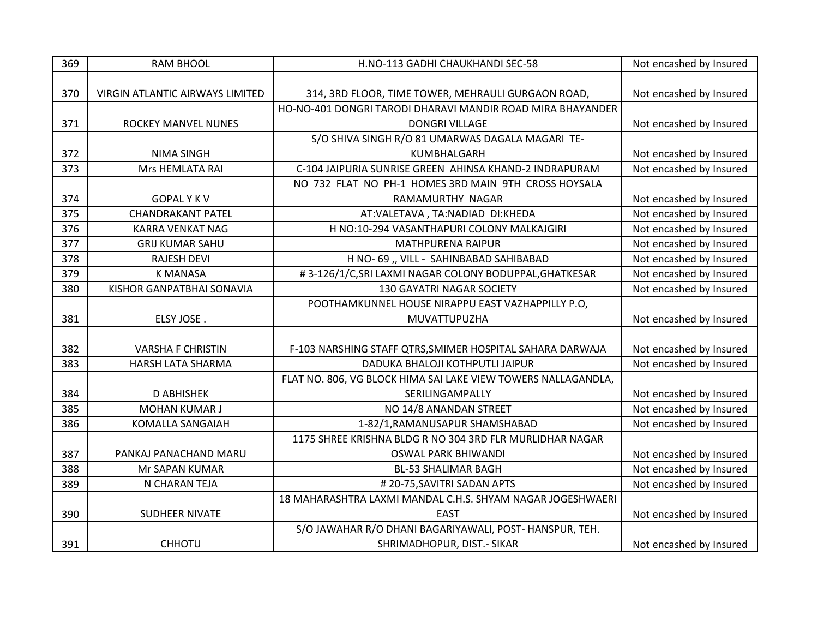| 369 | <b>RAM BHOOL</b>                | H.NO-113 GADHI CHAUKHANDI SEC-58                              | Not encashed by Insured |
|-----|---------------------------------|---------------------------------------------------------------|-------------------------|
|     |                                 |                                                               |                         |
| 370 | VIRGIN ATLANTIC AIRWAYS LIMITED | 314, 3RD FLOOR, TIME TOWER, MEHRAULI GURGAON ROAD,            | Not encashed by Insured |
|     |                                 | HO-NO-401 DONGRI TARODI DHARAVI MANDIR ROAD MIRA BHAYANDER    |                         |
| 371 | <b>ROCKEY MANVEL NUNES</b>      | <b>DONGRI VILLAGE</b>                                         | Not encashed by Insured |
|     |                                 | S/O SHIVA SINGH R/O 81 UMARWAS DAGALA MAGARI TE-              |                         |
| 372 | <b>NIMA SINGH</b>               | KUMBHALGARH                                                   | Not encashed by Insured |
| 373 | Mrs HEMLATA RAI                 | C-104 JAIPURIA SUNRISE GREEN AHINSA KHAND-2 INDRAPURAM        | Not encashed by Insured |
|     |                                 | NO 732 FLAT NO PH-1 HOMES 3RD MAIN 9TH CROSS HOYSALA          |                         |
| 374 | <b>GOPALYKV</b>                 | RAMAMURTHY NAGAR                                              | Not encashed by Insured |
| 375 | <b>CHANDRAKANT PATEL</b>        | AT:VALETAVA, TA:NADIAD DI:KHEDA                               | Not encashed by Insured |
| 376 | <b>KARRA VENKAT NAG</b>         | H NO:10-294 VASANTHAPURI COLONY MALKAJGIRI                    | Not encashed by Insured |
| 377 | <b>GRIJ KUMAR SAHU</b>          | <b>MATHPURENA RAIPUR</b>                                      | Not encashed by Insured |
| 378 | <b>RAJESH DEVI</b>              | H NO- 69 ,, VILL - SAHINBABAD SAHIBABAD                       | Not encashed by Insured |
| 379 | <b>K MANASA</b>                 | #3-126/1/C, SRI LAXMI NAGAR COLONY BODUPPAL, GHATKESAR        | Not encashed by Insured |
| 380 | KISHOR GANPATBHAI SONAVIA       | 130 GAYATRI NAGAR SOCIETY                                     | Not encashed by Insured |
|     |                                 | POOTHAMKUNNEL HOUSE NIRAPPU EAST VAZHAPPILLY P.O,             |                         |
| 381 | ELSY JOSE.                      | MUVATTUPUZHA                                                  | Not encashed by Insured |
|     |                                 |                                                               |                         |
| 382 | <b>VARSHA F CHRISTIN</b>        | F-103 NARSHING STAFF QTRS, SMIMER HOSPITAL SAHARA DARWAJA     | Not encashed by Insured |
| 383 | <b>HARSH LATA SHARMA</b>        | DADUKA BHALOJI KOTHPUTLI JAIPUR                               | Not encashed by Insured |
|     |                                 | FLAT NO. 806, VG BLOCK HIMA SAI LAKE VIEW TOWERS NALLAGANDLA, |                         |
| 384 | <b>D ABHISHEK</b>               | SERILINGAMPALLY                                               | Not encashed by Insured |
| 385 | <b>MOHAN KUMAR J</b>            | NO 14/8 ANANDAN STREET                                        | Not encashed by Insured |
| 386 | <b>KOMALLA SANGAIAH</b>         | 1-82/1, RAMANUSAPUR SHAMSHABAD                                | Not encashed by Insured |
|     |                                 | 1175 SHREE KRISHNA BLDG R NO 304 3RD FLR MURLIDHAR NAGAR      |                         |
| 387 | PANKAJ PANACHAND MARU           | <b>OSWAL PARK BHIWANDI</b>                                    | Not encashed by Insured |
| 388 | Mr SAPAN KUMAR                  | <b>BL-53 SHALIMAR BAGH</b>                                    | Not encashed by Insured |
| 389 | N CHARAN TEJA                   | #20-75, SAVITRI SADAN APTS                                    | Not encashed by Insured |
|     |                                 | 18 MAHARASHTRA LAXMI MANDAL C.H.S. SHYAM NAGAR JOGESHWAERI    |                         |
| 390 | SUDHEER NIVATE                  | <b>EAST</b>                                                   | Not encashed by Insured |
|     |                                 | S/O JAWAHAR R/O DHANI BAGARIYAWALI, POST-HANSPUR, TEH.        |                         |
| 391 | CHHOTU                          | SHRIMADHOPUR, DIST.- SIKAR                                    | Not encashed by Insured |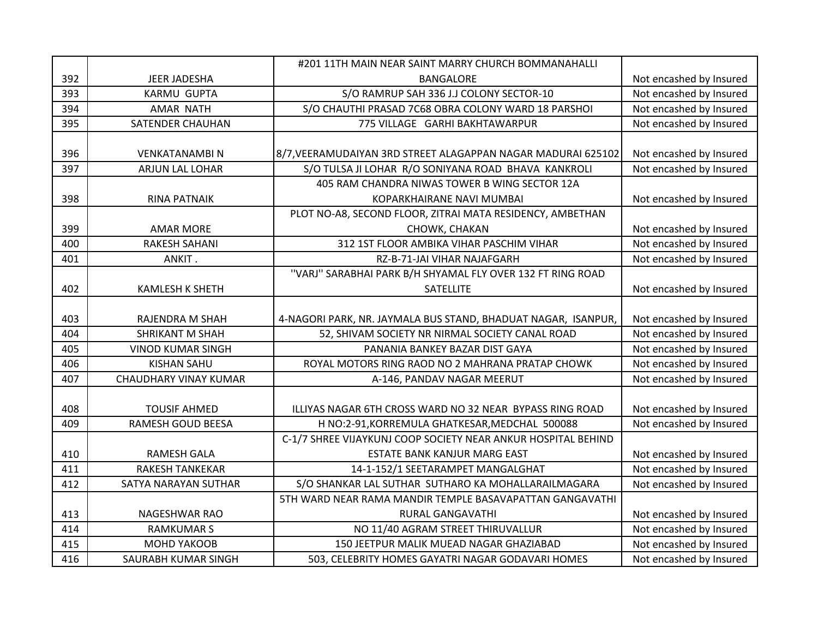|     |                              | #201 11TH MAIN NEAR SAINT MARRY CHURCH BOMMANAHALLI           |                         |
|-----|------------------------------|---------------------------------------------------------------|-------------------------|
| 392 | JEER JADESHA                 | <b>BANGALORE</b>                                              | Not encashed by Insured |
| 393 | <b>KARMU GUPTA</b>           | S/O RAMRUP SAH 336 J.J COLONY SECTOR-10                       | Not encashed by Insured |
| 394 | <b>AMAR NATH</b>             | S/O CHAUTHI PRASAD 7C68 OBRA COLONY WARD 18 PARSHOI           | Not encashed by Insured |
| 395 | SATENDER CHAUHAN             | 775 VILLAGE GARHI BAKHTAWARPUR                                | Not encashed by Insured |
|     |                              |                                                               |                         |
| 396 | <b>VENKATANAMBI N</b>        | 8/7, VEERAMUDAIYAN 3RD STREET ALAGAPPAN NAGAR MADURAI 625102  | Not encashed by Insured |
| 397 | ARJUN LAL LOHAR              | S/O TULSA JI LOHAR R/O SONIYANA ROAD BHAVA KANKROLI           | Not encashed by Insured |
|     |                              | 405 RAM CHANDRA NIWAS TOWER B WING SECTOR 12A                 |                         |
| 398 | <b>RINA PATNAIK</b>          | KOPARKHAIRANE NAVI MUMBAI                                     | Not encashed by Insured |
|     |                              | PLOT NO-A8, SECOND FLOOR, ZITRAI MATA RESIDENCY, AMBETHAN     |                         |
| 399 | <b>AMAR MORE</b>             | CHOWK, CHAKAN                                                 | Not encashed by Insured |
| 400 | <b>RAKESH SAHANI</b>         | 312 1ST FLOOR AMBIKA VIHAR PASCHIM VIHAR                      | Not encashed by Insured |
| 401 | ANKIT.                       | RZ-B-71-JAI VIHAR NAJAFGARH                                   | Not encashed by Insured |
|     |                              | "VARJ" SARABHAI PARK B/H SHYAMAL FLY OVER 132 FT RING ROAD    |                         |
| 402 | <b>KAMLESH K SHETH</b>       | SATELLITE                                                     | Not encashed by Insured |
|     |                              |                                                               |                         |
| 403 | RAJENDRA M SHAH              | 4-NAGORI PARK, NR. JAYMALA BUS STAND, BHADUAT NAGAR, ISANPUR, | Not encashed by Insured |
| 404 | <b>SHRIKANT M SHAH</b>       | 52, SHIVAM SOCIETY NR NIRMAL SOCIETY CANAL ROAD               | Not encashed by Insured |
| 405 | <b>VINOD KUMAR SINGH</b>     | PANANIA BANKEY BAZAR DIST GAYA                                | Not encashed by Insured |
| 406 | <b>KISHAN SAHU</b>           | ROYAL MOTORS RING RAOD NO 2 MAHRANA PRATAP CHOWK              | Not encashed by Insured |
| 407 | <b>CHAUDHARY VINAY KUMAR</b> | A-146, PANDAV NAGAR MEERUT                                    | Not encashed by Insured |
|     |                              |                                                               |                         |
| 408 | <b>TOUSIF AHMED</b>          | ILLIYAS NAGAR 6TH CROSS WARD NO 32 NEAR BYPASS RING ROAD      | Not encashed by Insured |
| 409 | RAMESH GOUD BEESA            | H NO:2-91, KORREMULA GHATKESAR, MEDCHAL 500088                | Not encashed by Insured |
|     |                              | C-1/7 SHREE VIJAYKUNJ COOP SOCIETY NEAR ANKUR HOSPITAL BEHIND |                         |
| 410 | <b>RAMESH GALA</b>           | ESTATE BANK KANJUR MARG EAST                                  | Not encashed by Insured |
| 411 | <b>RAKESH TANKEKAR</b>       | 14-1-152/1 SEETARAMPET MANGALGHAT                             | Not encashed by Insured |
| 412 | SATYA NARAYAN SUTHAR         | S/O SHANKAR LAL SUTHAR SUTHARO KA MOHALLARAILMAGARA           | Not encashed by Insured |
|     |                              | 5TH WARD NEAR RAMA MANDIR TEMPLE BASAVAPATTAN GANGAVATHI      |                         |
| 413 | NAGESHWAR RAO                | RURAL GANGAVATHI                                              | Not encashed by Insured |
| 414 | <b>RAMKUMAR S</b>            | NO 11/40 AGRAM STREET THIRUVALLUR                             | Not encashed by Insured |
| 415 | <b>MOHD YAKOOB</b>           | 150 JEETPUR MALIK MUEAD NAGAR GHAZIABAD                       | Not encashed by Insured |
| 416 | SAURABH KUMAR SINGH          | 503, CELEBRITY HOMES GAYATRI NAGAR GODAVARI HOMES             | Not encashed by Insured |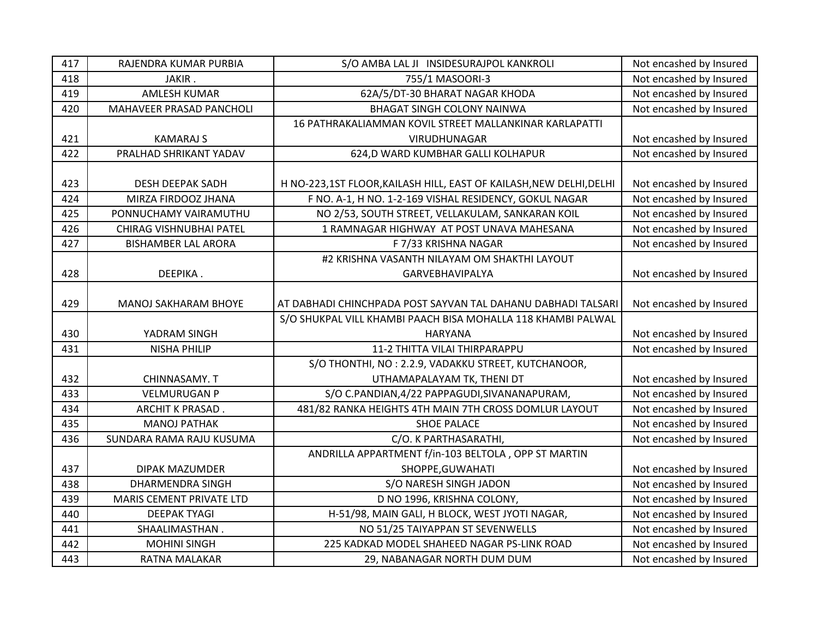| 417 | RAJENDRA KUMAR PURBIA           | S/O AMBA LAL JI INSIDESURAJPOL KANKROLI                             | Not encashed by Insured |
|-----|---------------------------------|---------------------------------------------------------------------|-------------------------|
| 418 | JAKIR.                          | 755/1 MASOORI-3                                                     | Not encashed by Insured |
| 419 | <b>AMLESH KUMAR</b>             | 62A/5/DT-30 BHARAT NAGAR KHODA                                      | Not encashed by Insured |
| 420 | MAHAVEER PRASAD PANCHOLI        | <b>BHAGAT SINGH COLONY NAINWA</b>                                   | Not encashed by Insured |
|     |                                 | 16 PATHRAKALIAMMAN KOVIL STREET MALLANKINAR KARLAPATTI              |                         |
| 421 | <b>KAMARAJ S</b>                | VIRUDHUNAGAR                                                        | Not encashed by Insured |
| 422 | PRALHAD SHRIKANT YADAV          | 624,D WARD KUMBHAR GALLI KOLHAPUR                                   | Not encashed by Insured |
|     |                                 |                                                                     |                         |
| 423 | <b>DESH DEEPAK SADH</b>         | H NO-223,1ST FLOOR, KAILASH HILL, EAST OF KAILASH, NEW DELHI, DELHI | Not encashed by Insured |
| 424 | MIRZA FIRDOOZ JHANA             | F NO. A-1, H NO. 1-2-169 VISHAL RESIDENCY, GOKUL NAGAR              | Not encashed by Insured |
| 425 | PONNUCHAMY VAIRAMUTHU           | NO 2/53, SOUTH STREET, VELLAKULAM, SANKARAN KOIL                    | Not encashed by Insured |
| 426 | CHIRAG VISHNUBHAI PATEL         | 1 RAMNAGAR HIGHWAY AT POST UNAVA MAHESANA                           | Not encashed by Insured |
| 427 | <b>BISHAMBER LAL ARORA</b>      | F 7/33 KRISHNA NAGAR                                                | Not encashed by Insured |
|     |                                 | #2 KRISHNA VASANTH NILAYAM OM SHAKTHI LAYOUT                        |                         |
| 428 | DEEPIKA.                        | GARVEBHAVIPALYA                                                     | Not encashed by Insured |
|     |                                 |                                                                     |                         |
| 429 | <b>MANOJ SAKHARAM BHOYE</b>     | AT DABHADI CHINCHPADA POST SAYVAN TAL DAHANU DABHADI TALSARI        | Not encashed by Insured |
|     |                                 | S/O SHUKPAL VILL KHAMBI PAACH BISA MOHALLA 118 KHAMBI PALWAL        |                         |
| 430 | YADRAM SINGH                    | <b>HARYANA</b>                                                      | Not encashed by Insured |
| 431 | <b>NISHA PHILIP</b>             | 11-2 THITTA VILAI THIRPARAPPU                                       | Not encashed by Insured |
|     |                                 | S/O THONTHI, NO: 2.2.9, VADAKKU STREET, KUTCHANOOR,                 |                         |
| 432 | CHINNASAMY. T                   | UTHAMAPALAYAM TK, THENI DT                                          | Not encashed by Insured |
| 433 | <b>VELMURUGAN P</b>             | S/O C.PANDIAN, 4/22 PAPPAGUDI, SIVANANAPURAM,                       | Not encashed by Insured |
| 434 | ARCHIT K PRASAD.                | 481/82 RANKA HEIGHTS 4TH MAIN 7TH CROSS DOMLUR LAYOUT               | Not encashed by Insured |
| 435 | <b>MANOJ PATHAK</b>             | <b>SHOE PALACE</b>                                                  | Not encashed by Insured |
| 436 | SUNDARA RAMA RAJU KUSUMA        | C/O. K PARTHASARATHI,                                               | Not encashed by Insured |
|     |                                 | ANDRILLA APPARTMENT f/in-103 BELTOLA, OPP ST MARTIN                 |                         |
| 437 | DIPAK MAZUMDER                  | SHOPPE, GUWAHATI                                                    | Not encashed by Insured |
| 438 | <b>DHARMENDRA SINGH</b>         | S/O NARESH SINGH JADON                                              | Not encashed by Insured |
| 439 | <b>MARIS CEMENT PRIVATE LTD</b> | D NO 1996, KRISHNA COLONY,                                          | Not encashed by Insured |
| 440 | <b>DEEPAK TYAGI</b>             | H-51/98, MAIN GALI, H BLOCK, WEST JYOTI NAGAR,                      | Not encashed by Insured |
| 441 | SHAALIMASTHAN.                  | NO 51/25 TAIYAPPAN ST SEVENWELLS                                    | Not encashed by Insured |
| 442 |                                 |                                                                     |                         |
|     | <b>MOHINI SINGH</b>             | 225 KADKAD MODEL SHAHEED NAGAR PS-LINK ROAD                         | Not encashed by Insured |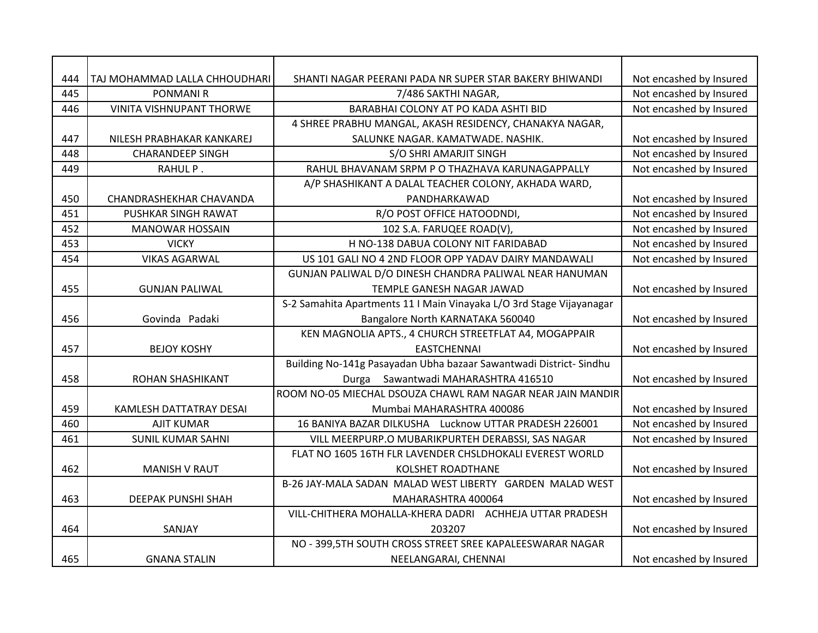| 444<br>445 | TAJ MOHAMMAD LALLA CHHOUDHARI<br><b>PONMANI R</b>    | SHANTI NAGAR PEERANI PADA NR SUPER STAR BAKERY BHIWANDI              | Not encashed by Insured |
|------------|------------------------------------------------------|----------------------------------------------------------------------|-------------------------|
|            |                                                      | 7/486 SAKTHI NAGAR,                                                  | Not encashed by Insured |
| 446        | VINITA VISHNUPANT THORWE                             | BARABHAI COLONY AT PO KADA ASHTI BID                                 | Not encashed by Insured |
|            |                                                      | 4 SHREE PRABHU MANGAL, AKASH RESIDENCY, CHANAKYA NAGAR,              |                         |
| 447        | NILESH PRABHAKAR KANKAREJ<br><b>CHARANDEEP SINGH</b> | SALUNKE NAGAR. KAMATWADE. NASHIK.                                    | Not encashed by Insured |
| 448        |                                                      | S/O SHRI AMARJIT SINGH                                               | Not encashed by Insured |
| 449        | RAHUL P.                                             | RAHUL BHAVANAM SRPM P O THAZHAVA KARUNAGAPPALLY                      | Not encashed by Insured |
| 450        | CHANDRASHEKHAR CHAVANDA                              | A/P SHASHIKANT A DALAL TEACHER COLONY, AKHADA WARD,<br>PANDHARKAWAD  | Not encashed by Insured |
| 451        | PUSHKAR SINGH RAWAT                                  | R/O POST OFFICE HATOODNDI,                                           | Not encashed by Insured |
| 452        | <b>MANOWAR HOSSAIN</b>                               | 102 S.A. FARUQEE ROAD(V),                                            | Not encashed by Insured |
| 453        | <b>VICKY</b>                                         | H NO-138 DABUA COLONY NIT FARIDABAD                                  | Not encashed by Insured |
| 454        | <b>VIKAS AGARWAL</b>                                 | US 101 GALI NO 4 2ND FLOOR OPP YADAV DAIRY MANDAWALI                 | Not encashed by Insured |
|            |                                                      | GUNJAN PALIWAL D/O DINESH CHANDRA PALIWAL NEAR HANUMAN               |                         |
| 455        | <b>GUNJAN PALIWAL</b>                                | TEMPLE GANESH NAGAR JAWAD                                            | Not encashed by Insured |
|            |                                                      | S-2 Samahita Apartments 11   Main Vinayaka L/O 3rd Stage Vijayanagar |                         |
| 456        | Govinda Padaki                                       | Bangalore North KARNATAKA 560040                                     | Not encashed by Insured |
|            |                                                      | KEN MAGNOLIA APTS., 4 CHURCH STREETFLAT A4, MOGAPPAIR                |                         |
| 457        | <b>BEJOY KOSHY</b>                                   | <b>EASTCHENNAL</b>                                                   | Not encashed by Insured |
|            |                                                      | Building No-141g Pasayadan Ubha bazaar Sawantwadi District-Sindhu    |                         |
| 458        | <b>ROHAN SHASHIKANT</b>                              | Sawantwadi MAHARASHTRA 416510<br>Durga                               | Not encashed by Insured |
|            |                                                      | ROOM NO-05 MIECHAL DSOUZA CHAWL RAM NAGAR NEAR JAIN MANDIR           |                         |
| 459        | KAMLESH DATTATRAY DESAI                              | Mumbai MAHARASHTRA 400086                                            | Not encashed by Insured |
| 460        | <b>AJIT KUMAR</b>                                    | 16 BANIYA BAZAR DILKUSHA Lucknow UTTAR PRADESH 226001                | Not encashed by Insured |
| 461        | <b>SUNIL KUMAR SAHNI</b>                             | VILL MEERPURP.O MUBARIKPURTEH DERABSSI, SAS NAGAR                    | Not encashed by Insured |
|            |                                                      | FLAT NO 1605 16TH FLR LAVENDER CHSLDHOKALI EVEREST WORLD             |                         |
| 462        | <b>MANISH V RAUT</b>                                 | KOLSHET ROADTHANE                                                    | Not encashed by Insured |
|            |                                                      | B-26 JAY-MALA SADAN MALAD WEST LIBERTY GARDEN MALAD WEST             |                         |
| 463        | DEEPAK PUNSHI SHAH                                   | MAHARASHTRA 400064                                                   | Not encashed by Insured |
|            |                                                      | VILL-CHITHERA MOHALLA-KHERA DADRI ACHHEJA UTTAR PRADESH              |                         |
| 464        | SANJAY                                               | 203207                                                               | Not encashed by Insured |
|            |                                                      | NO - 399,5TH SOUTH CROSS STREET SREE KAPALEESWARAR NAGAR             |                         |
| 465        | <b>GNANA STALIN</b>                                  | NEELANGARAI, CHENNAI                                                 | Not encashed by Insured |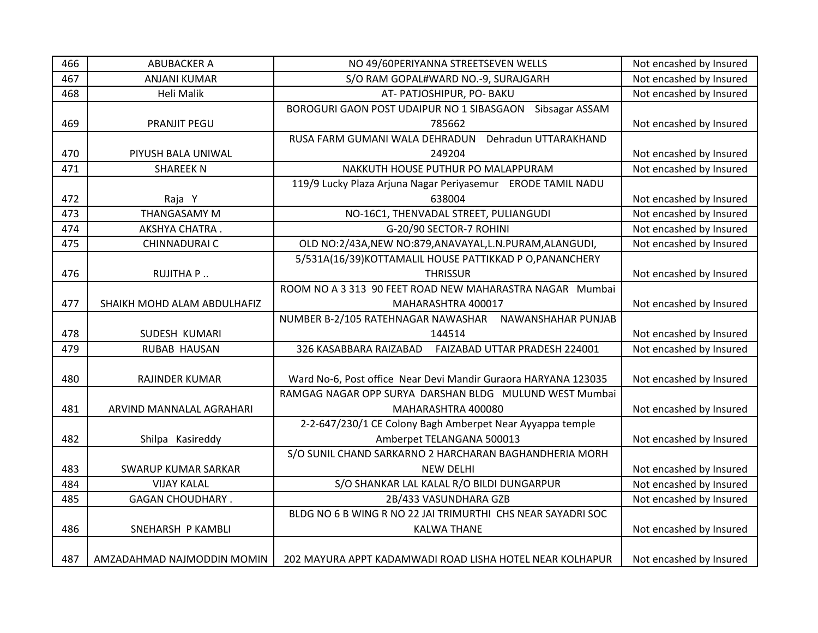| 466 | <b>ABUBACKER A</b>          | NO 49/60PERIYANNA STREETSEVEN WELLS                            | Not encashed by Insured |
|-----|-----------------------------|----------------------------------------------------------------|-------------------------|
| 467 | <b>ANJANI KUMAR</b>         | S/O RAM GOPAL#WARD NO.-9, SURAJGARH                            | Not encashed by Insured |
| 468 | Heli Malik                  | AT- PATJOSHIPUR, PO- BAKU                                      | Not encashed by Insured |
|     |                             | Sibsagar ASSAM<br>BOROGURI GAON POST UDAIPUR NO 1 SIBASGAON    |                         |
| 469 | PRANJIT PEGU                | 785662                                                         | Not encashed by Insured |
|     |                             | RUSA FARM GUMANI WALA DEHRADUN Dehradun UTTARAKHAND            |                         |
| 470 | PIYUSH BALA UNIWAL          | 249204                                                         | Not encashed by Insured |
| 471 | <b>SHAREEK N</b>            | NAKKUTH HOUSE PUTHUR PO MALAPPURAM                             | Not encashed by Insured |
|     |                             | 119/9 Lucky Plaza Arjuna Nagar Periyasemur ERODE TAMIL NADU    |                         |
| 472 | Raja Y                      | 638004                                                         | Not encashed by Insured |
| 473 | <b>THANGASAMY M</b>         | NO-16C1, THENVADAL STREET, PULIANGUDI                          | Not encashed by Insured |
| 474 | AKSHYA CHATRA.              | G-20/90 SECTOR-7 ROHINI                                        | Not encashed by Insured |
| 475 | CHINNADURAI C               | OLD NO:2/43A, NEW NO:879, ANAVAYAL, L.N. PURAM, ALANGUDI,      | Not encashed by Insured |
|     |                             | 5/531A(16/39)KOTTAMALIL HOUSE PATTIKKAD P O, PANANCHERY        |                         |
| 476 | RUJITHA P                   | <b>THRISSUR</b>                                                | Not encashed by Insured |
|     |                             | ROOM NO A 3 313 90 FEET ROAD NEW MAHARASTRA NAGAR Mumbai       |                         |
| 477 | SHAIKH MOHD ALAM ABDULHAFIZ | MAHARASHTRA 400017                                             | Not encashed by Insured |
|     |                             | NUMBER B-2/105 RATEHNAGAR NAWASHAR NAWANSHAHAR PUNJAB          |                         |
| 478 | SUDESH KUMARI               | 144514                                                         | Not encashed by Insured |
| 479 | RUBAB HAUSAN                | 326 KASABBARA RAIZABAD<br>FAIZABAD UTTAR PRADESH 224001        | Not encashed by Insured |
|     |                             |                                                                |                         |
| 480 | <b>RAJINDER KUMAR</b>       | Ward No-6, Post office Near Devi Mandir Guraora HARYANA 123035 | Not encashed by Insured |
|     |                             | RAMGAG NAGAR OPP SURYA DARSHAN BLDG MULUND WEST Mumbai         |                         |
| 481 | ARVIND MANNALAL AGRAHARI    | MAHARASHTRA 400080                                             | Not encashed by Insured |
|     |                             | 2-2-647/230/1 CE Colony Bagh Amberpet Near Ayyappa temple      |                         |
| 482 | Shilpa Kasireddy            | Amberpet TELANGANA 500013                                      | Not encashed by Insured |
|     |                             | S/O SUNIL CHAND SARKARNO 2 HARCHARAN BAGHANDHERIA MORH         |                         |
| 483 | <b>SWARUP KUMAR SARKAR</b>  | <b>NEW DELHI</b>                                               | Not encashed by Insured |
| 484 | <b>VIJAY KALAL</b>          | S/O SHANKAR LAL KALAL R/O BILDI DUNGARPUR                      | Not encashed by Insured |
| 485 | <b>GAGAN CHOUDHARY.</b>     | 2B/433 VASUNDHARA GZB                                          | Not encashed by Insured |
|     |                             | BLDG NO 6 B WING R NO 22 JAI TRIMURTHI CHS NEAR SAYADRI SOC    |                         |
| 486 | SNEHARSH P KAMBLI           | <b>KALWA THANE</b>                                             | Not encashed by Insured |
|     |                             |                                                                |                         |
| 487 | AMZADAHMAD NAJMODDIN MOMIN  | 202 MAYURA APPT KADAMWADI ROAD LISHA HOTEL NEAR KOLHAPUR       | Not encashed by Insured |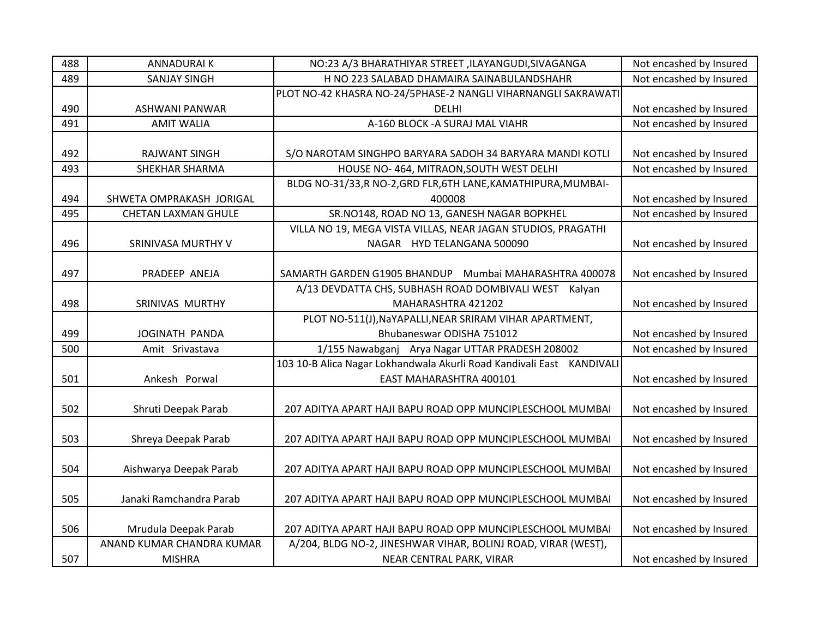| 488 | <b>ANNADURAIK</b>          | NO:23 A/3 BHARATHIYAR STREET , ILAYANGUDI, SIVAGANGA                  | Not encashed by Insured |
|-----|----------------------------|-----------------------------------------------------------------------|-------------------------|
| 489 | <b>SANJAY SINGH</b>        | H NO 223 SALABAD DHAMAIRA SAINABULANDSHAHR                            | Not encashed by Insured |
|     |                            | PLOT NO-42 KHASRA NO-24/5PHASE-2 NANGLI VIHARNANGLI SAKRAWATI         |                         |
| 490 | <b>ASHWANI PANWAR</b>      | <b>DELHI</b>                                                          | Not encashed by Insured |
| 491 | <b>AMIT WALIA</b>          | A-160 BLOCK - A SURAJ MAL VIAHR                                       | Not encashed by Insured |
|     |                            |                                                                       |                         |
| 492 | <b>RAJWANT SINGH</b>       | S/O NAROTAM SINGHPO BARYARA SADOH 34 BARYARA MANDI KOTLI              | Not encashed by Insured |
| 493 | <b>SHEKHAR SHARMA</b>      | HOUSE NO-464, MITRAON, SOUTH WEST DELHI                               | Not encashed by Insured |
|     |                            | BLDG NO-31/33,R NO-2, GRD FLR, 6TH LANE, KAMATHIPURA, MUMBAI-         |                         |
| 494 | SHWETA OMPRAKASH JORIGAL   | 400008                                                                | Not encashed by Insured |
| 495 | <b>CHETAN LAXMAN GHULE</b> | SR.NO148, ROAD NO 13, GANESH NAGAR BOPKHEL                            | Not encashed by Insured |
|     |                            | VILLA NO 19, MEGA VISTA VILLAS, NEAR JAGAN STUDIOS, PRAGATHI          |                         |
| 496 | SRINIVASA MURTHY V         | NAGAR HYD TELANGANA 500090                                            | Not encashed by Insured |
|     |                            |                                                                       |                         |
| 497 | PRADEEP ANEJA              | SAMARTH GARDEN G1905 BHANDUP Mumbai MAHARASHTRA 400078                | Not encashed by Insured |
|     |                            | A/13 DEVDATTA CHS, SUBHASH ROAD DOMBIVALI WEST Kalyan                 |                         |
| 498 | SRINIVAS MURTHY            | MAHARASHTRA 421202                                                    | Not encashed by Insured |
|     |                            | PLOT NO-511(J), NaYAPALLI, NEAR SRIRAM VIHAR APARTMENT,               |                         |
| 499 | JOGINATH PANDA             | Bhubaneswar ODISHA 751012                                             | Not encashed by Insured |
| 500 | Amit Srivastava            | 1/155 Nawabganj Arya Nagar UTTAR PRADESH 208002                       | Not encashed by Insured |
|     |                            | 103 10-B Alica Nagar Lokhandwala Akurli Road Kandivali East KANDIVALI |                         |
| 501 | Ankesh Porwal              | EAST MAHARASHTRA 400101                                               | Not encashed by Insured |
|     |                            |                                                                       |                         |
| 502 | Shruti Deepak Parab        | 207 ADITYA APART HAJI BAPU ROAD OPP MUNCIPLESCHOOL MUMBAI             | Not encashed by Insured |
|     |                            |                                                                       |                         |
| 503 | Shreya Deepak Parab        | 207 ADITYA APART HAJI BAPU ROAD OPP MUNCIPLESCHOOL MUMBAI             | Not encashed by Insured |
|     |                            |                                                                       |                         |
| 504 | Aishwarya Deepak Parab     | 207 ADITYA APART HAJI BAPU ROAD OPP MUNCIPLESCHOOL MUMBAI             | Not encashed by Insured |
|     |                            |                                                                       |                         |
| 505 | Janaki Ramchandra Parab    | 207 ADITYA APART HAJI BAPU ROAD OPP MUNCIPLESCHOOL MUMBAI             | Not encashed by Insured |
|     |                            |                                                                       |                         |
| 506 | Mrudula Deepak Parab       | 207 ADITYA APART HAJI BAPU ROAD OPP MUNCIPLESCHOOL MUMBAI             | Not encashed by Insured |
|     | ANAND KUMAR CHANDRA KUMAR  | A/204, BLDG NO-2, JINESHWAR VIHAR, BOLINJ ROAD, VIRAR (WEST),         |                         |
| 507 | <b>MISHRA</b>              | NEAR CENTRAL PARK, VIRAR                                              | Not encashed by Insured |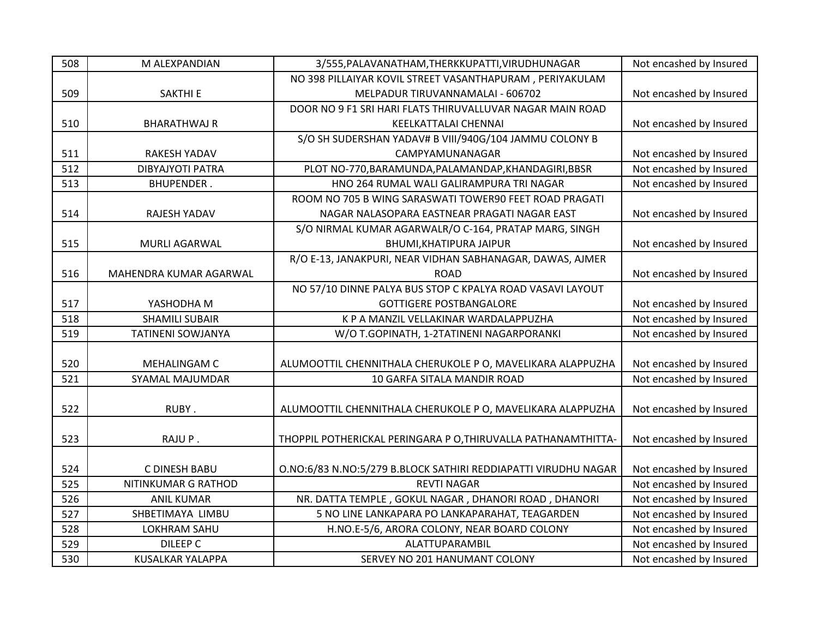| 508 | M ALEXPANDIAN            | 3/555, PALAVANATHAM, THERKKUPATTI, VIRUDHUNAGAR                | Not encashed by Insured |
|-----|--------------------------|----------------------------------------------------------------|-------------------------|
|     |                          | NO 398 PILLAIYAR KOVIL STREET VASANTHAPURAM, PERIYAKULAM       |                         |
| 509 | <b>SAKTHI E</b>          | MELPADUR TIRUVANNAMALAI - 606702                               | Not encashed by Insured |
|     |                          | DOOR NO 9 F1 SRI HARI FLATS THIRUVALLUVAR NAGAR MAIN ROAD      |                         |
| 510 | <b>BHARATHWAJ R</b>      | KEELKATTALAI CHENNAI                                           | Not encashed by Insured |
|     |                          | S/O SH SUDERSHAN YADAV# B VIII/940G/104 JAMMU COLONY B         |                         |
| 511 | <b>RAKESH YADAV</b>      | CAMPYAMUNANAGAR                                                | Not encashed by Insured |
| 512 | <b>DIBYAJYOTI PATRA</b>  | PLOT NO-770, BARAMUNDA, PALAMANDAP, KHANDAGIRI, BBSR           | Not encashed by Insured |
| 513 | <b>BHUPENDER.</b>        | HNO 264 RUMAL WALI GALIRAMPURA TRI NAGAR                       | Not encashed by Insured |
|     |                          | ROOM NO 705 B WING SARASWATI TOWER90 FEET ROAD PRAGATI         |                         |
| 514 | RAJESH YADAV             | NAGAR NALASOPARA EASTNEAR PRAGATI NAGAR EAST                   | Not encashed by Insured |
|     |                          | S/O NIRMAL KUMAR AGARWALR/O C-164, PRATAP MARG, SINGH          |                         |
| 515 | <b>MURLI AGARWAL</b>     | BHUMI, KHATIPURA JAIPUR                                        | Not encashed by Insured |
|     |                          | R/O E-13, JANAKPURI, NEAR VIDHAN SABHANAGAR, DAWAS, AJMER      |                         |
| 516 | MAHENDRA KUMAR AGARWAL   | <b>ROAD</b>                                                    | Not encashed by Insured |
|     |                          | NO 57/10 DINNE PALYA BUS STOP C KPALYA ROAD VASAVI LAYOUT      |                         |
| 517 | YASHODHA M               | <b>GOTTIGERE POSTBANGALORE</b>                                 | Not encashed by Insured |
| 518 | <b>SHAMILI SUBAIR</b>    | K P A MANZIL VELLAKINAR WARDALAPPUZHA                          | Not encashed by Insured |
| 519 | <b>TATINENI SOWJANYA</b> | W/O T.GOPINATH, 1-2TATINENI NAGARPORANKI                       | Not encashed by Insured |
|     |                          |                                                                |                         |
| 520 | MEHALINGAM C             | ALUMOOTTIL CHENNITHALA CHERUKOLE P O, MAVELIKARA ALAPPUZHA     | Not encashed by Insured |
| 521 | SYAMAL MAJUMDAR          | 10 GARFA SITALA MANDIR ROAD                                    | Not encashed by Insured |
|     |                          |                                                                |                         |
| 522 | RUBY.                    | ALUMOOTTIL CHENNITHALA CHERUKOLE P O, MAVELIKARA ALAPPUZHA     | Not encashed by Insured |
|     |                          |                                                                |                         |
| 523 | RAJUP.                   | THOPPIL POTHERICKAL PERINGARA P O, THIRUVALLA PATHANAMTHITTA-  | Not encashed by Insured |
|     |                          |                                                                |                         |
| 524 | C DINESH BABU            | O.NO:6/83 N.NO:5/279 B.BLOCK SATHIRI REDDIAPATTI VIRUDHU NAGAR | Not encashed by Insured |
| 525 | NITINKUMAR G RATHOD      | <b>REVTI NAGAR</b>                                             | Not encashed by Insured |
| 526 | <b>ANIL KUMAR</b>        | NR. DATTA TEMPLE, GOKUL NAGAR, DHANORI ROAD, DHANORI           | Not encashed by Insured |
| 527 | SHBETIMAYA LIMBU         | 5 NO LINE LANKAPARA PO LANKAPARAHAT, TEAGARDEN                 | Not encashed by Insured |
| 528 | LOKHRAM SAHU             | H.NO.E-5/6, ARORA COLONY, NEAR BOARD COLONY                    | Not encashed by Insured |
| 529 | <b>DILEEP C</b>          | ALATTUPARAMBIL                                                 | Not encashed by Insured |
| 530 | <b>KUSALKAR YALAPPA</b>  | SERVEY NO 201 HANUMANT COLONY                                  | Not encashed by Insured |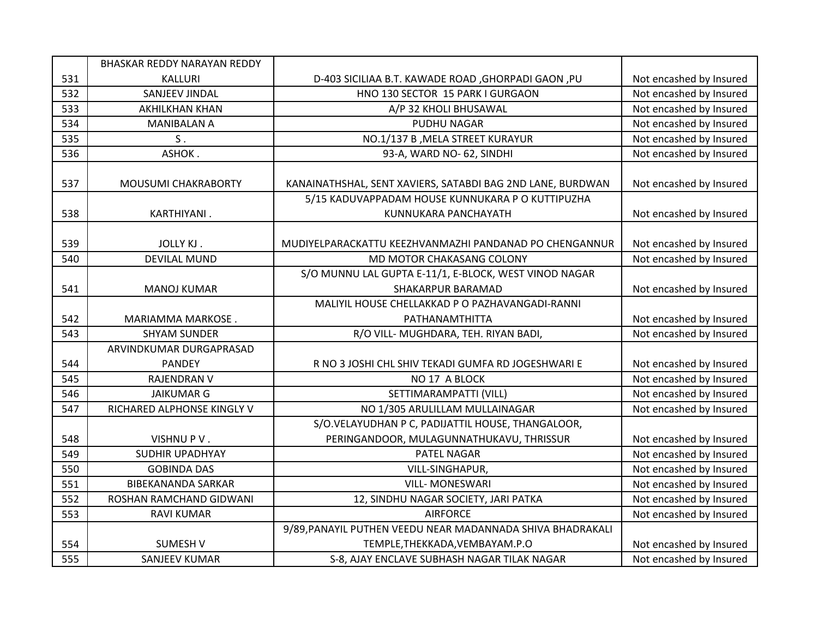|     | BHASKAR REDDY NARAYAN REDDY              |                                                                            |                         |
|-----|------------------------------------------|----------------------------------------------------------------------------|-------------------------|
| 531 | <b>KALLURI</b>                           | D-403 SICILIAA B.T. KAWADE ROAD, GHORPADI GAON, PU                         | Not encashed by Insured |
| 532 | SANJEEV JINDAL                           | HNO 130 SECTOR 15 PARK I GURGAON                                           | Not encashed by Insured |
| 533 | <b>AKHILKHAN KHAN</b>                    | A/P 32 KHOLI BHUSAWAL                                                      | Not encashed by Insured |
| 534 | <b>MANIBALAN A</b>                       | PUDHU NAGAR                                                                | Not encashed by Insured |
| 535 | ${\sf S}$ .                              | NO.1/137 B, MELA STREET KURAYUR                                            | Not encashed by Insured |
| 536 | ASHOK.                                   | 93-A, WARD NO- 62, SINDHI                                                  | Not encashed by Insured |
| 537 | MOUSUMI CHAKRABORTY                      | KANAINATHSHAL, SENT XAVIERS, SATABDI BAG 2ND LANE, BURDWAN                 | Not encashed by Insured |
|     |                                          | 5/15 KADUVAPPADAM HOUSE KUNNUKARA P O KUTTIPUZHA                           |                         |
| 538 | KARTHIYANI.                              | KUNNUKARA PANCHAYATH                                                       | Not encashed by Insured |
| 539 | JOLLY KJ.                                | MUDIYELPARACKATTU KEEZHVANMAZHI PANDANAD PO CHENGANNUR                     | Not encashed by Insured |
| 540 | <b>DEVILAL MUND</b>                      | MD MOTOR CHAKASANG COLONY                                                  | Not encashed by Insured |
| 541 | <b>MANOJ KUMAR</b>                       | S/O MUNNU LAL GUPTA E-11/1, E-BLOCK, WEST VINOD NAGAR<br>SHAKARPUR BARAMAD | Not encashed by Insured |
|     |                                          | MALIYIL HOUSE CHELLAKKAD P O PAZHAVANGADI-RANNI                            |                         |
| 542 | MARIAMMA MARKOSE.                        | PATHANAMTHITTA                                                             | Not encashed by Insured |
| 543 | <b>SHYAM SUNDER</b>                      | R/O VILL- MUGHDARA, TEH. RIYAN BADI,                                       | Not encashed by Insured |
| 544 | ARVINDKUMAR DURGAPRASAD<br><b>PANDEY</b> | R NO 3 JOSHI CHL SHIV TEKADI GUMFA RD JOGESHWARI E                         | Not encashed by Insured |
| 545 | <b>RAJENDRAN V</b>                       | NO 17 A BLOCK                                                              | Not encashed by Insured |
| 546 | <b>JAIKUMAR G</b>                        | SETTIMARAMPATTI (VILL)                                                     | Not encashed by Insured |
| 547 | RICHARED ALPHONSE KINGLY V               | NO 1/305 ARULILLAM MULLAINAGAR                                             | Not encashed by Insured |
|     |                                          | S/O.VELAYUDHAN P C, PADIJATTIL HOUSE, THANGALOOR,                          |                         |
| 548 | VISHNUPV.                                | PERINGANDOOR, MULAGUNNATHUKAVU, THRISSUR                                   | Not encashed by Insured |
| 549 | <b>SUDHIR UPADHYAY</b>                   | <b>PATEL NAGAR</b>                                                         | Not encashed by Insured |
| 550 | <b>GOBINDA DAS</b>                       | VILL-SINGHAPUR,                                                            | Not encashed by Insured |
| 551 | <b>BIBEKANANDA SARKAR</b>                | <b>VILL- MONESWARI</b>                                                     | Not encashed by Insured |
| 552 | ROSHAN RAMCHAND GIDWANI                  | 12, SINDHU NAGAR SOCIETY, JARI PATKA                                       | Not encashed by Insured |
| 553 | <b>RAVI KUMAR</b>                        | <b>AIRFORCE</b>                                                            | Not encashed by Insured |
|     |                                          | 9/89, PANAYIL PUTHEN VEEDU NEAR MADANNADA SHIVA BHADRAKALI                 |                         |
| 554 | <b>SUMESH V</b>                          | TEMPLE, THEKKADA, VEMBAYAM.P.O                                             | Not encashed by Insured |
| 555 | <b>SANJEEV KUMAR</b>                     | S-8, AJAY ENCLAVE SUBHASH NAGAR TILAK NAGAR                                | Not encashed by Insured |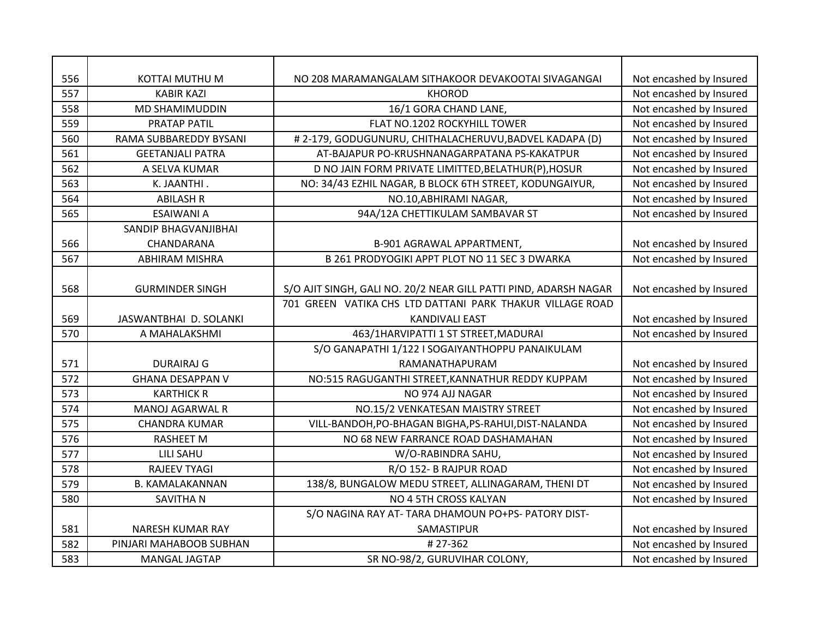| 556 | KOTTAI MUTHU M          | NO 208 MARAMANGALAM SITHAKOOR DEVAKOOTAI SIVAGANGAI              | Not encashed by Insured |
|-----|-------------------------|------------------------------------------------------------------|-------------------------|
| 557 | <b>KABIR KAZI</b>       | <b>KHOROD</b>                                                    | Not encashed by Insured |
| 558 | <b>MD SHAMIMUDDIN</b>   | 16/1 GORA CHAND LANE,                                            | Not encashed by Insured |
| 559 | PRATAP PATIL            | FLAT NO.1202 ROCKYHILL TOWER                                     | Not encashed by Insured |
| 560 | RAMA SUBBAREDDY BYSANI  | # 2-179, GODUGUNURU, CHITHALACHERUVU, BADVEL KADAPA (D)          | Not encashed by Insured |
| 561 | <b>GEETANJALI PATRA</b> | AT-BAJAPUR PO-KRUSHNANAGARPATANA PS-KAKATPUR                     | Not encashed by Insured |
| 562 | A SELVA KUMAR           | D NO JAIN FORM PRIVATE LIMITTED, BELATHUR(P), HOSUR              | Not encashed by Insured |
| 563 | K. JAANTHI.             | NO: 34/43 EZHIL NAGAR, B BLOCK 6TH STREET, KODUNGAIYUR,          | Not encashed by Insured |
| 564 | <b>ABILASH R</b>        | NO.10, ABHIRAMI NAGAR,                                           | Not encashed by Insured |
| 565 | <b>ESAIWANI A</b>       | 94A/12A CHETTIKULAM SAMBAVAR ST                                  | Not encashed by Insured |
|     | SANDIP BHAGVANJIBHAI    |                                                                  |                         |
| 566 | CHANDARANA              | B-901 AGRAWAL APPARTMENT,                                        | Not encashed by Insured |
| 567 | <b>ABHIRAM MISHRA</b>   | B 261 PRODYOGIKI APPT PLOT NO 11 SEC 3 DWARKA                    | Not encashed by Insured |
|     |                         |                                                                  |                         |
| 568 | <b>GURMINDER SINGH</b>  | S/O AJIT SINGH, GALI NO. 20/2 NEAR GILL PATTI PIND, ADARSH NAGAR | Not encashed by Insured |
|     |                         | 701 GREEN VATIKA CHS LTD DATTANI PARK THAKUR VILLAGE ROAD        |                         |
| 569 | JASWANTBHAI D. SOLANKI  | <b>KANDIVALI EAST</b>                                            | Not encashed by Insured |
| 570 | A MAHALAKSHMI           | 463/1HARVIPATTI 1 ST STREET, MADURAI                             | Not encashed by Insured |
|     |                         | S/O GANAPATHI 1/122 I SOGAIYANTHOPPU PANAIKULAM                  |                         |
| 571 | <b>DURAIRAJ G</b>       | RAMANATHAPURAM                                                   | Not encashed by Insured |
| 572 | <b>GHANA DESAPPAN V</b> | NO:515 RAGUGANTHI STREET, KANNATHUR REDDY KUPPAM                 | Not encashed by Insured |
| 573 | <b>KARTHICK R</b>       | NO 974 AJJ NAGAR                                                 | Not encashed by Insured |
| 574 | <b>MANOJ AGARWAL R</b>  | NO.15/2 VENKATESAN MAISTRY STREET                                | Not encashed by Insured |
| 575 | <b>CHANDRA KUMAR</b>    | VILL-BANDOH, PO-BHAGAN BIGHA, PS-RAHUI, DIST-NALANDA             | Not encashed by Insured |
| 576 | <b>RASHEET M</b>        | NO 68 NEW FARRANCE ROAD DASHAMAHAN                               | Not encashed by Insured |
| 577 | <b>LILI SAHU</b>        | W/O-RABINDRA SAHU,                                               | Not encashed by Insured |
| 578 | <b>RAJEEV TYAGI</b>     | R/O 152- B RAJPUR ROAD                                           | Not encashed by Insured |
| 579 | <b>B. KAMALAKANNAN</b>  | 138/8, BUNGALOW MEDU STREET, ALLINAGARAM, THENI DT               | Not encashed by Insured |
| 580 | SAVITHA N               | NO 4 5TH CROSS KALYAN                                            | Not encashed by Insured |
|     |                         | S/O NAGINA RAY AT- TARA DHAMOUN PO+PS- PATORY DIST-              |                         |
| 581 | <b>NARESH KUMAR RAY</b> | SAMASTIPUR                                                       | Not encashed by Insured |
| 582 | PINJARI MAHABOOB SUBHAN | #27-362                                                          | Not encashed by Insured |
| 583 | MANGAL JAGTAP           | SR NO-98/2, GURUVIHAR COLONY,                                    | Not encashed by Insured |